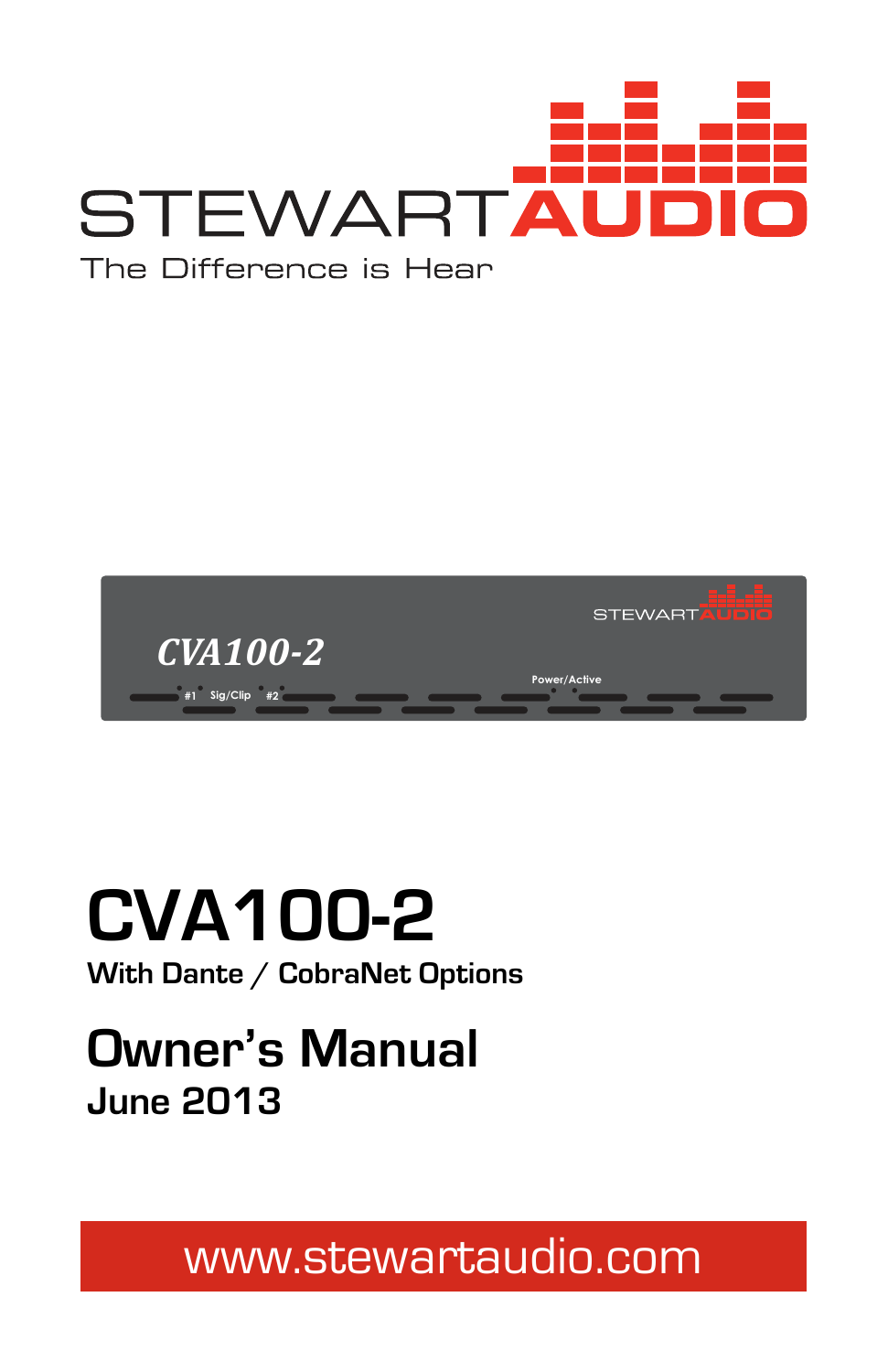



# **CVA100-2**

**With Dante / CobraNet Options** 

## **Owner's Manual June 2013**

www.stewartaudio.com

1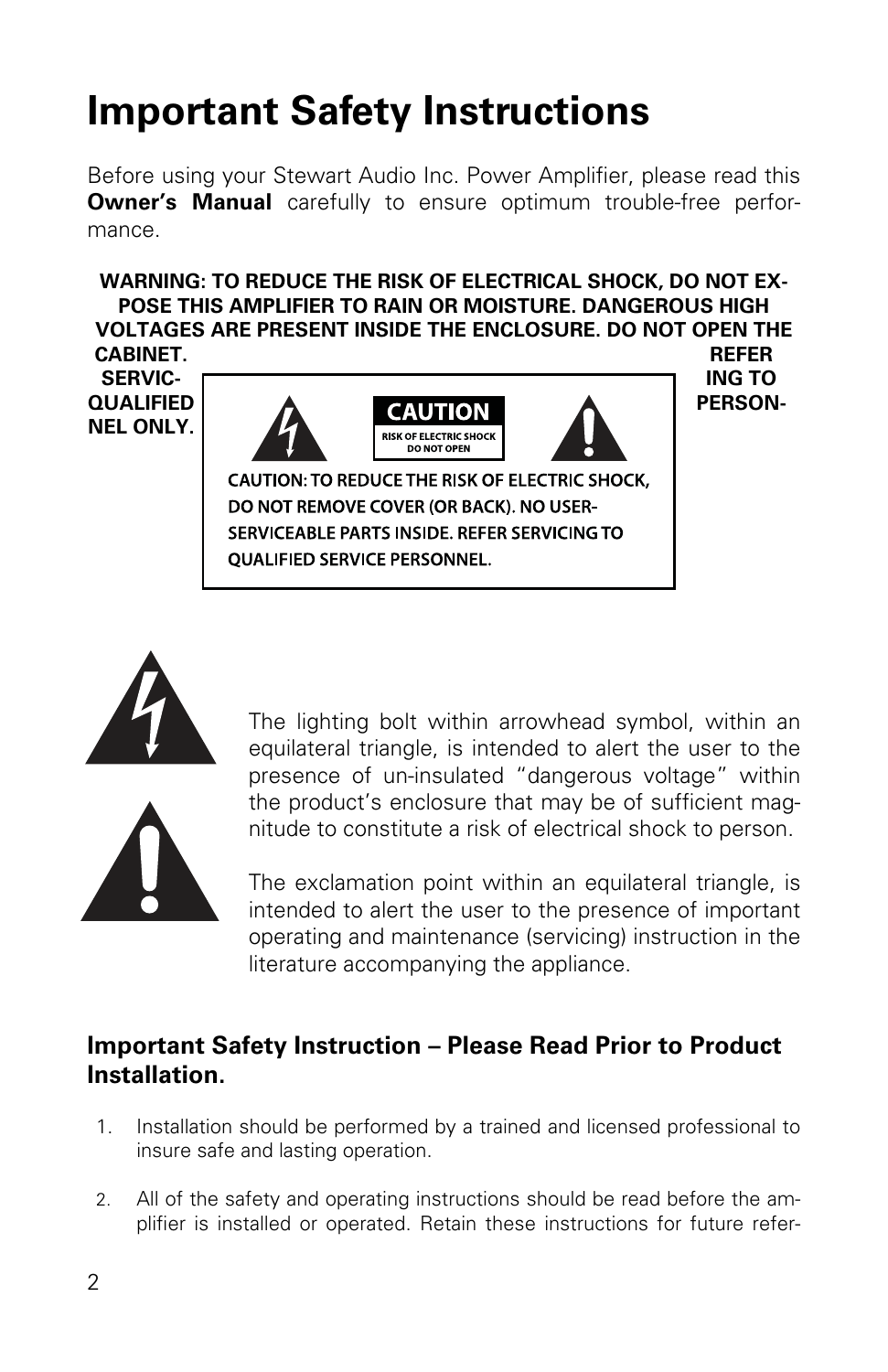## **Important Safety Instructions**

Before using your Stewart Audio Inc. Power Amplifier, please read this **Owner's Manual** carefully to ensure optimum trouble-free performance.

#### **WARNING: TO REDUCE THE RISK OF ELECTRICAL SHOCK, DO NOT EX-POSE THIS AMPLIFIER TO RAIN OR MOISTURE. DANGEROUS HIGH VOLTAGES ARE PRESENT INSIDE THE ENCLOSURE. DO NOT OPEN THE CABINET. REFER**

**NEL ONLY.**



CAUTION: TO REDUCE THE RISK OF ELECTRIC SHOCK, DO NOT REMOVE COVER (OR BACK). NO USER-SERVICEABLE PARTS INSIDE. REFER SERVICING TO **OUALIFIED SERVICE PERSONNEL.** 





The lighting bolt within arrowhead symbol, within an equilateral triangle, is intended to alert the user to the presence of un-insulated "dangerous voltage" within the product's enclosure that may be of sufficient magnitude to constitute a risk of electrical shock to person.

The exclamation point within an equilateral triangle, is intended to alert the user to the presence of important operating and maintenance (servicing) instruction in the literature accompanying the appliance.

#### **Important Safety Instruction – Please Read Prior to Product Installation.**

- 1. Installation should be performed by a trained and licensed professional to insure safe and lasting operation.
- 2. All of the safety and operating instructions should be read before the amplifier is installed or operated. Retain these instructions for future refer-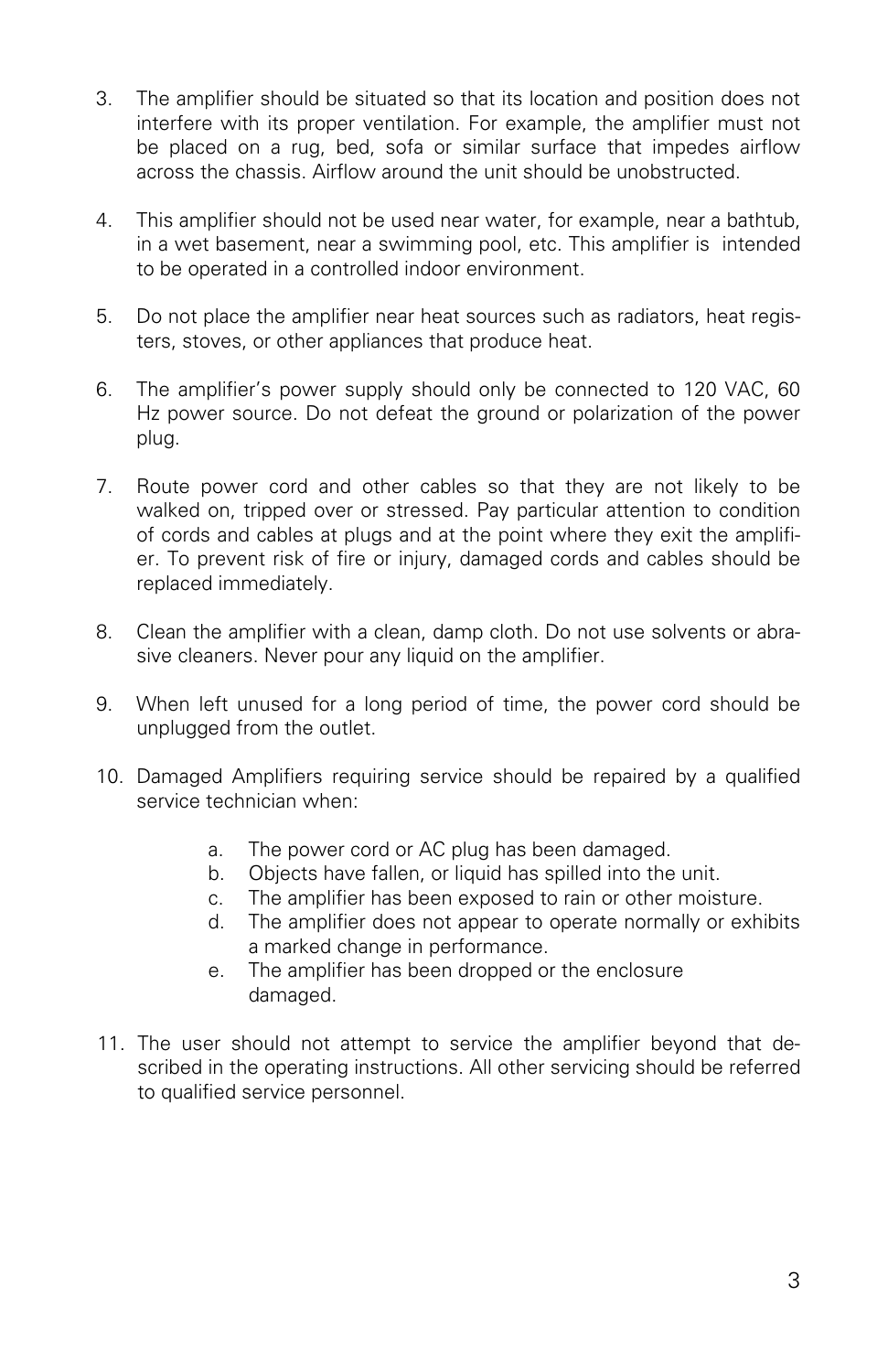- 3. The amplifier should be situated so that its location and position does not interfere with its proper ventilation. For example, the amplifier must not be placed on a rug, bed, sofa or similar surface that impedes airflow across the chassis. Airflow around the unit should be unobstructed.
- 4. This amplifier should not be used near water, for example, near a bathtub, in a wet basement, near a swimming pool, etc. This amplifier is intended to be operated in a controlled indoor environment.
- 5. Do not place the amplifier near heat sources such as radiators, heat registers, stoves, or other appliances that produce heat.
- 6. The amplifier's power supply should only be connected to 120 VAC, 60 Hz power source. Do not defeat the ground or polarization of the power plug.
- 7. Route power cord and other cables so that they are not likely to be walked on, tripped over or stressed. Pay particular attention to condition of cords and cables at plugs and at the point where they exit the amplifier. To prevent risk of fire or injury, damaged cords and cables should be replaced immediately.
- 8. Clean the amplifier with a clean, damp cloth. Do not use solvents or abrasive cleaners. Never pour any liquid on the amplifier.
- 9. When left unused for a long period of time, the power cord should be unplugged from the outlet.
- 10. Damaged Amplifiers requiring service should be repaired by a qualified service technician when:
	- a. The power cord or AC plug has been damaged.
	- b. Objects have fallen, or liquid has spilled into the unit.
	- c. The amplifier has been exposed to rain or other moisture.
	- d. The amplifier does not appear to operate normally or exhibits a marked change in performance.
	- e. The amplifier has been dropped or the enclosure damaged.
- 11. The user should not attempt to service the amplifier beyond that described in the operating instructions. All other servicing should be referred to qualified service personnel.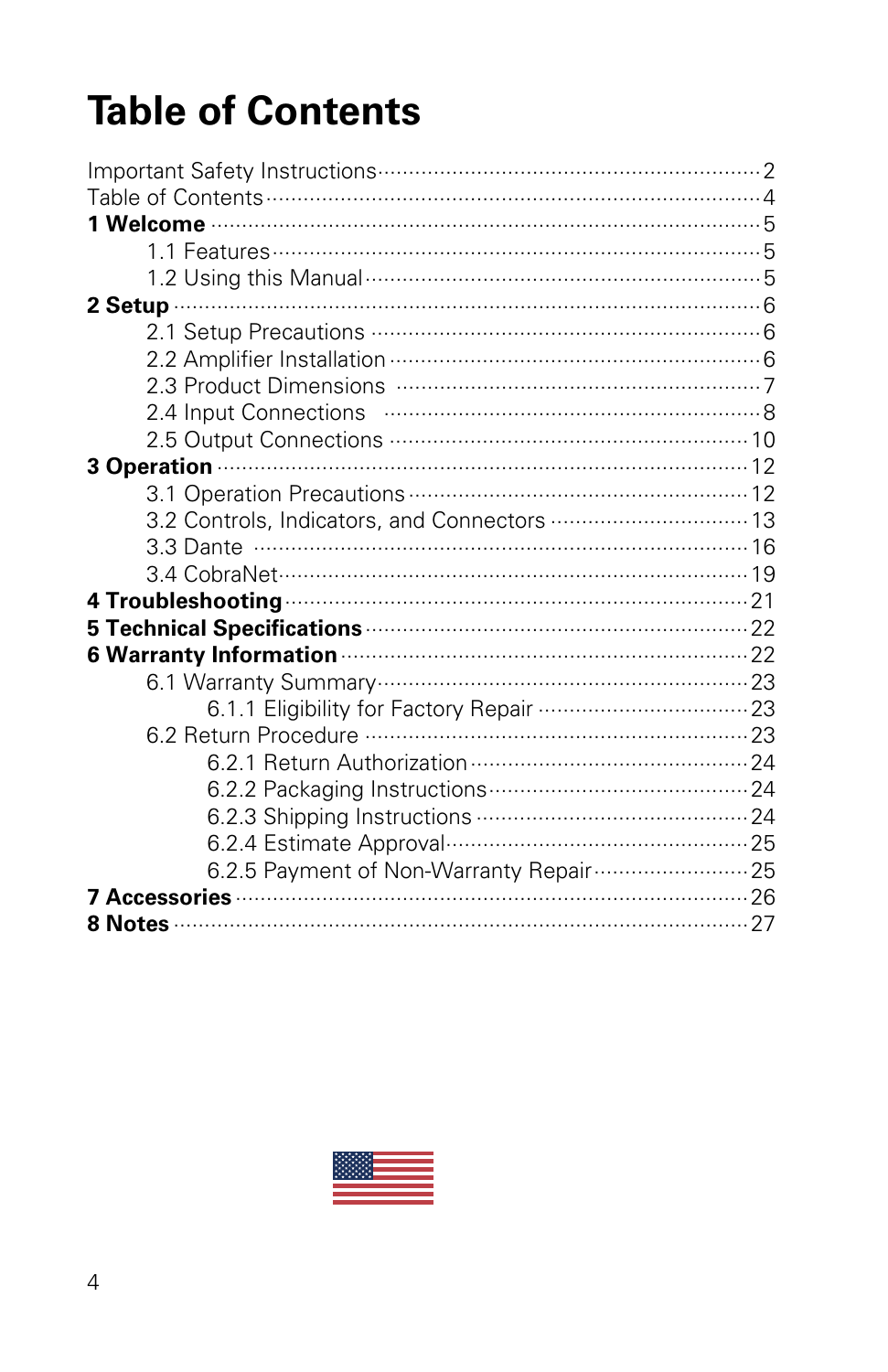## **Table of Contents**

| 3.2 Controls, Indicators, and Connectors  13                        |  |
|---------------------------------------------------------------------|--|
|                                                                     |  |
|                                                                     |  |
|                                                                     |  |
| 5 Technical Specifications <b>Manual Street Property Control</b> 22 |  |
| 6 Warranty Information <b>Martin Accompany 22</b>                   |  |
|                                                                     |  |
|                                                                     |  |
|                                                                     |  |
|                                                                     |  |
|                                                                     |  |
|                                                                     |  |
|                                                                     |  |
| 6.2.5 Payment of Non-Warranty Repair  25                            |  |
|                                                                     |  |
|                                                                     |  |

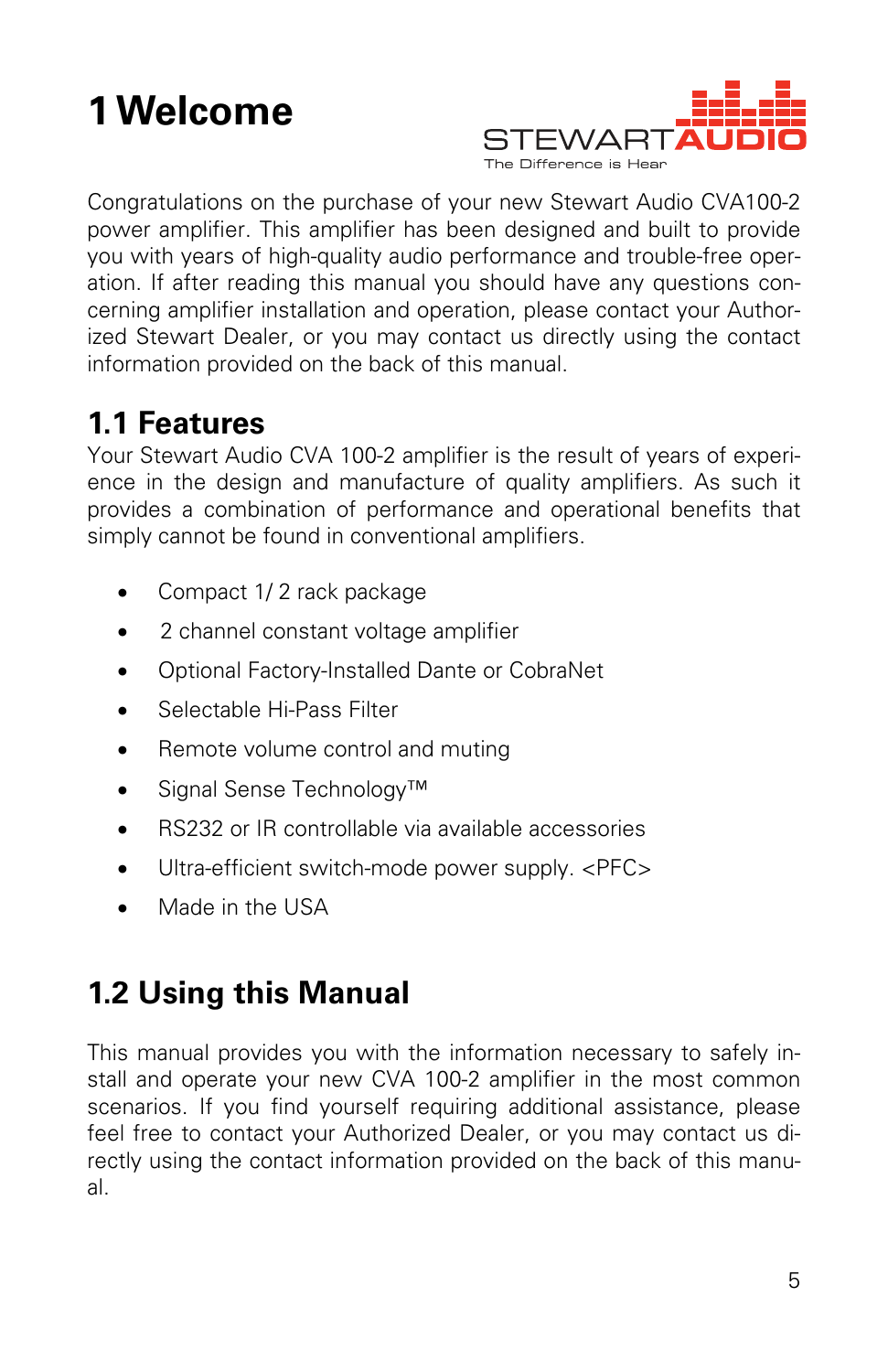## **1 Welcome**



Congratulations on the purchase of your new Stewart Audio CVA100-2 power amplifier. This amplifier has been designed and built to provide you with years of high-quality audio performance and trouble-free operation. If after reading this manual you should have any questions concerning amplifier installation and operation, please contact your Authorized Stewart Dealer, or you may contact us directly using the contact information provided on the back of this manual.

## **1.1 Features**

Your Stewart Audio CVA 100-2 amplifier is the result of years of experience in the design and manufacture of quality amplifiers. As such it provides a combination of performance and operational benefits that simply cannot be found in conventional amplifiers.

- Compact 1/2 rack package
- 2 channel constant voltage amplifier
- Optional Factory-Installed Dante or CobraNet
- Selectable Hi-Pass Filter
- Remote volume control and muting
- Signal Sense Technology™
- RS232 or IR controllable via available accessories
- Ultra-efficient switch-mode power supply. <PFC>
- Made in the USA

## **1.2 Using this Manual**

This manual provides you with the information necessary to safely install and operate your new CVA 100-2 amplifier in the most common scenarios. If you find yourself requiring additional assistance, please feel free to contact your Authorized Dealer, or you may contact us directly using the contact information provided on the back of this manual.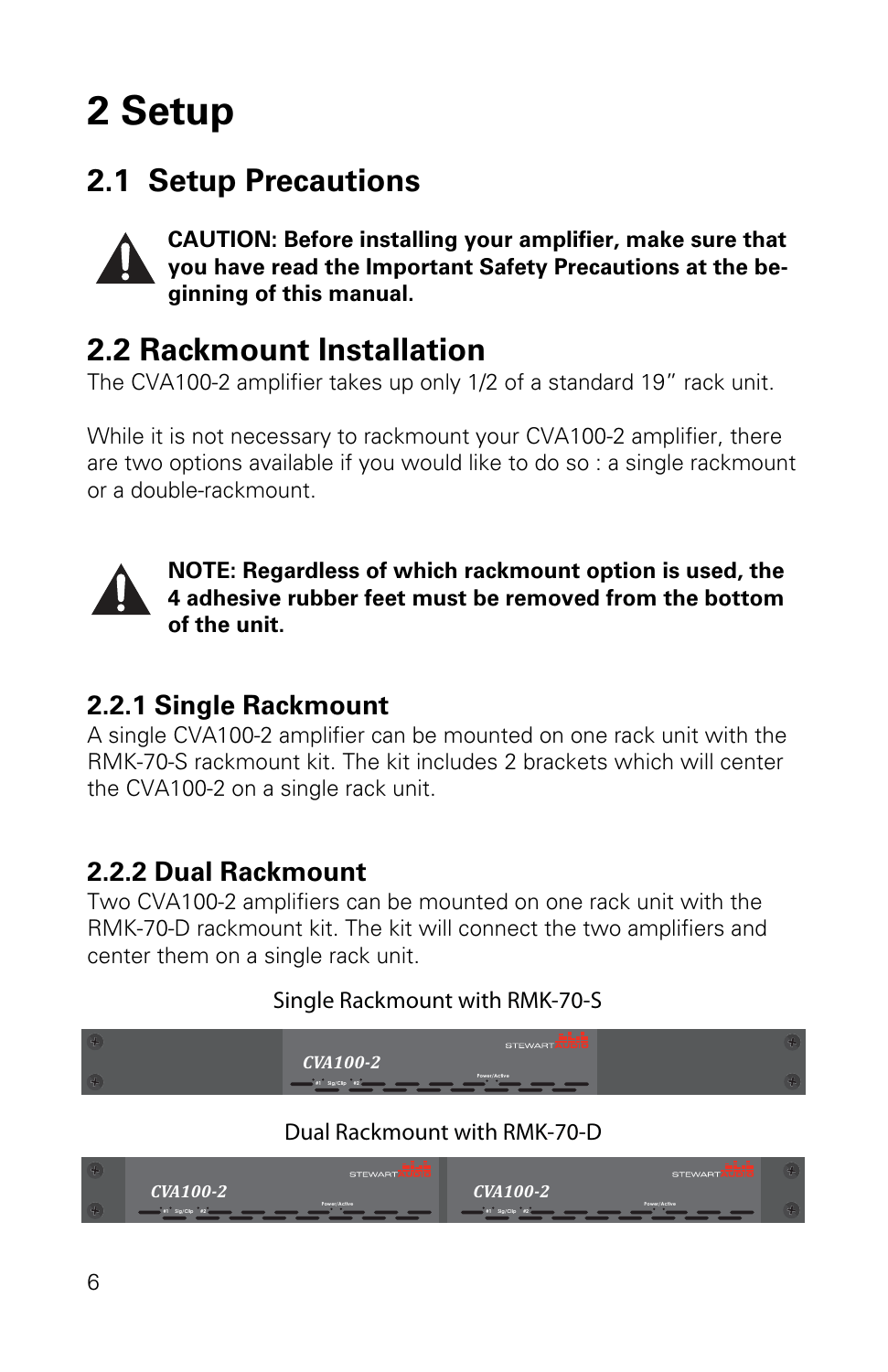## **2 Setup**

## **2.1 Setup Precautions**



**CAUTION: Before installing your amplifier, make sure that you have read the Important Safety Precautions at the beginning of this manual.** 

### **2.2 Rackmount Installation**

The CVA100-2 amplifier takes up only 1/2 of a standard 19" rack unit.

While it is not necessary to rackmount your CVA100-2 amplifier, there are two options available if you would like to do so : a single rackmount or a double-rackmount.



**NOTE: Regardless of which rackmount option is used, the 4 adhesive rubber feet must be removed from the bottom of the unit.** 

#### **2.2.1 Single Rackmount**

A single CVA100-2 amplifier can be mounted on one rack unit with the RMK-70-S rackmount kit. The kit includes 2 brackets which will center the CVA100-2 on a single rack unit.

#### **2.2.2 Dual Rackmount**

Two CVA100-2 amplifiers can be mounted on one rack unit with the RMK-70-D rackmount kit. The kit will connect the two amplifiers and center them on a single rack unit.

#### Single Rackmount with RMK-70-S



#### Dual Rackmount with RMK-70-D

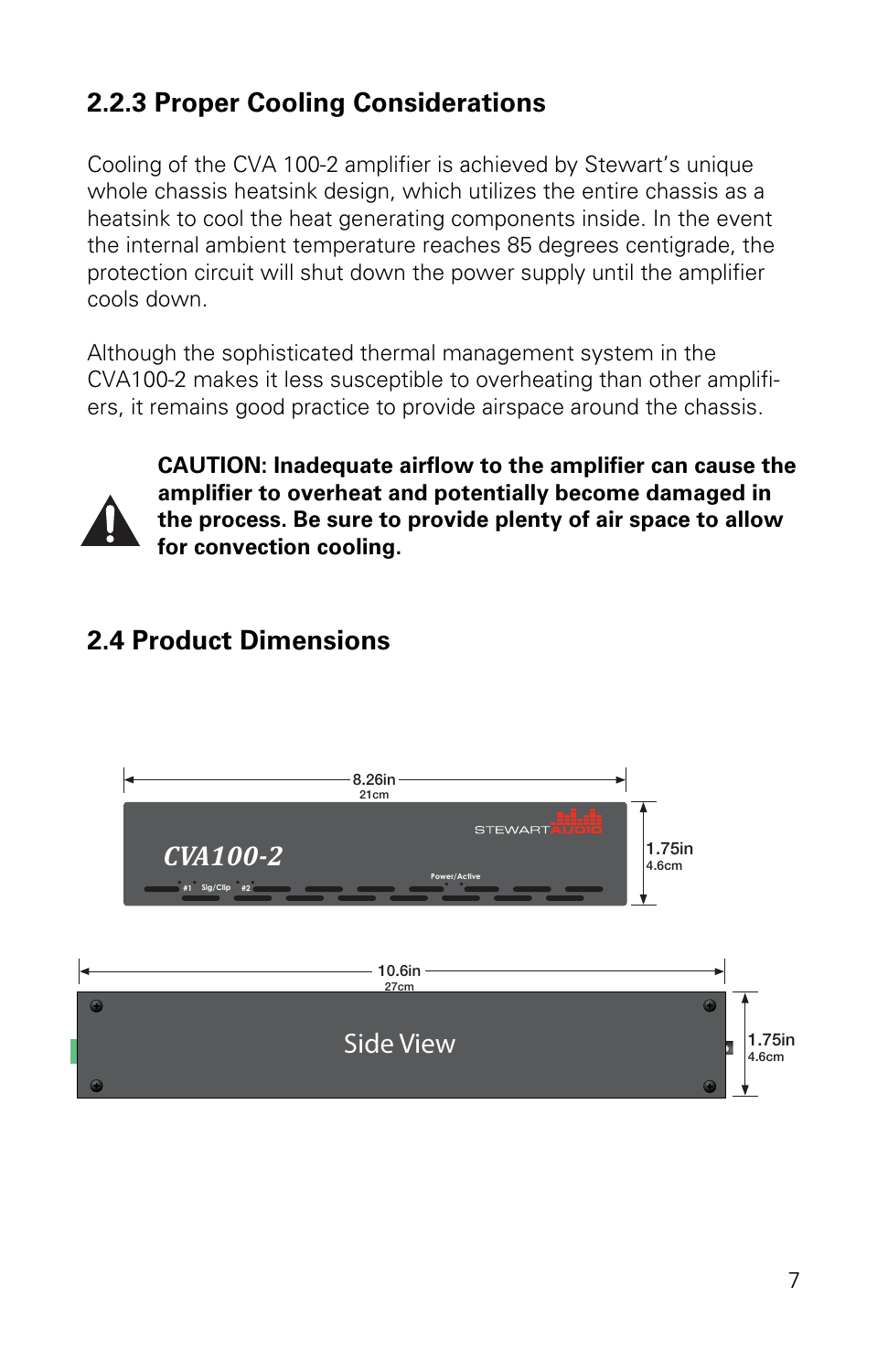### **2.2.3 Proper Cooling Considerations**

Cooling of the CVA 100-2 amplifier is achieved by Stewart's unique whole chassis heatsink design, which utilizes the entire chassis as a heatsink to cool the heat generating components inside. In the event the internal ambient temperature reaches 85 degrees centigrade, the protection circuit will shut down the power supply until the amplifier cools down.

Although the sophisticated thermal management system in the CVA100-2 makes it less susceptible to overheating than other amplifiers, it remains good practice to provide airspace around the chassis.



**CAUTION: Inadequate airflow to the amplifier can cause the amplifier to overheat and potentially become damaged in the process. Be sure to provide plenty of air space to allow for convection cooling.** 

### **2.4 Product Dimensions**

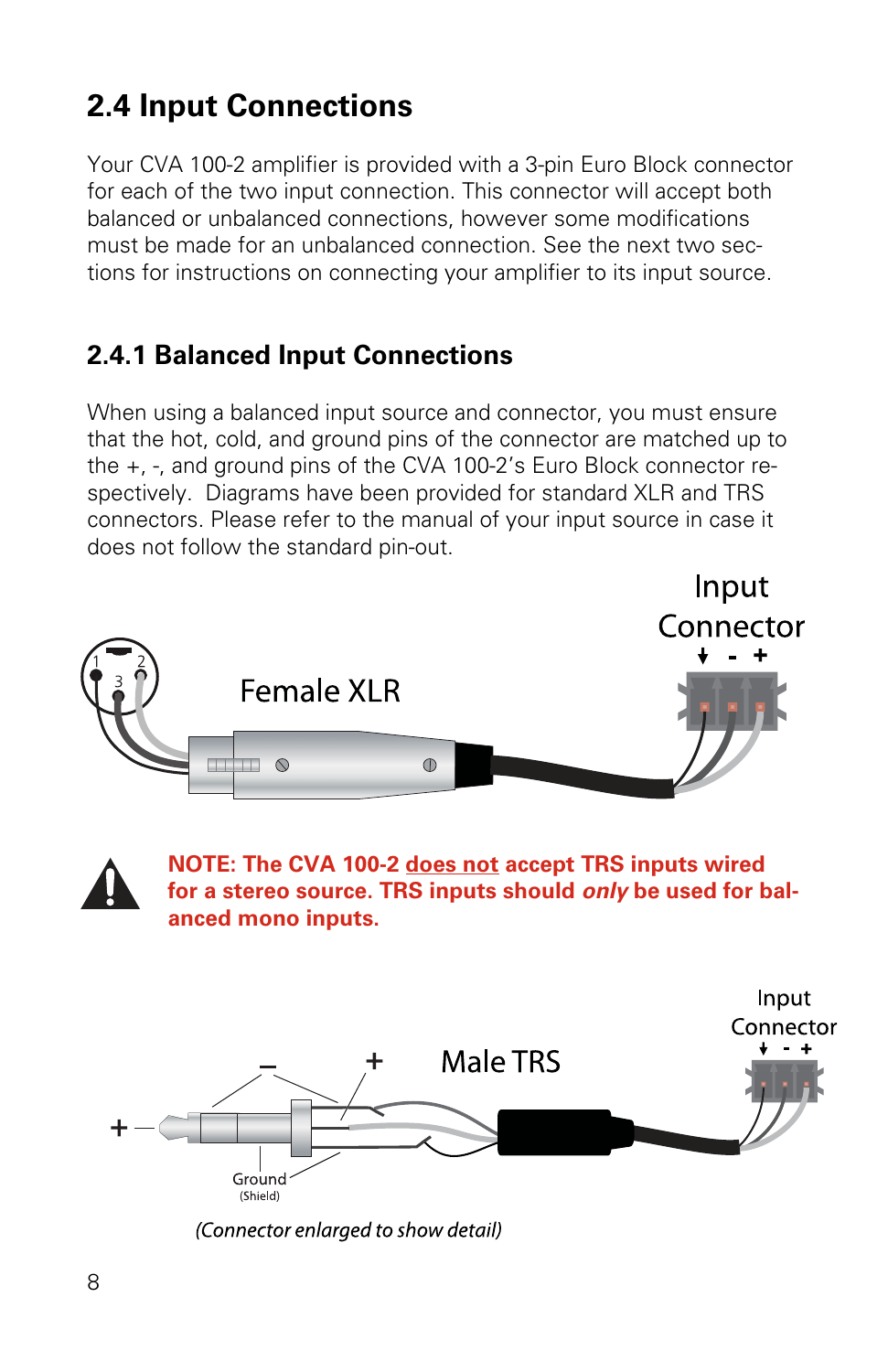## **2.4 Input Connections**

Your CVA 100-2 amplifier is provided with a 3-pin Euro Block connector for each of the two input connection. This connector will accept both balanced or unbalanced connections, however some modifications must be made for an unbalanced connection. See the next two sections for instructions on connecting your amplifier to its input source.

#### **2.4.1 Balanced Input Connections**

When using a balanced input source and connector, you must ensure that the hot, cold, and ground pins of the connector are matched up to the +, -, and ground pins of the CVA 100-2's Euro Block connector respectively. Diagrams have been provided for standard XLR and TRS connectors. Please refer to the manual of your input source in case it does not follow the standard pin-out.





**NOTE: The CVA 100-2 does not accept TRS inputs wired for a stereo source. TRS inputs should only be used for balanced mono inputs.**



(Connector enlarged to show detail)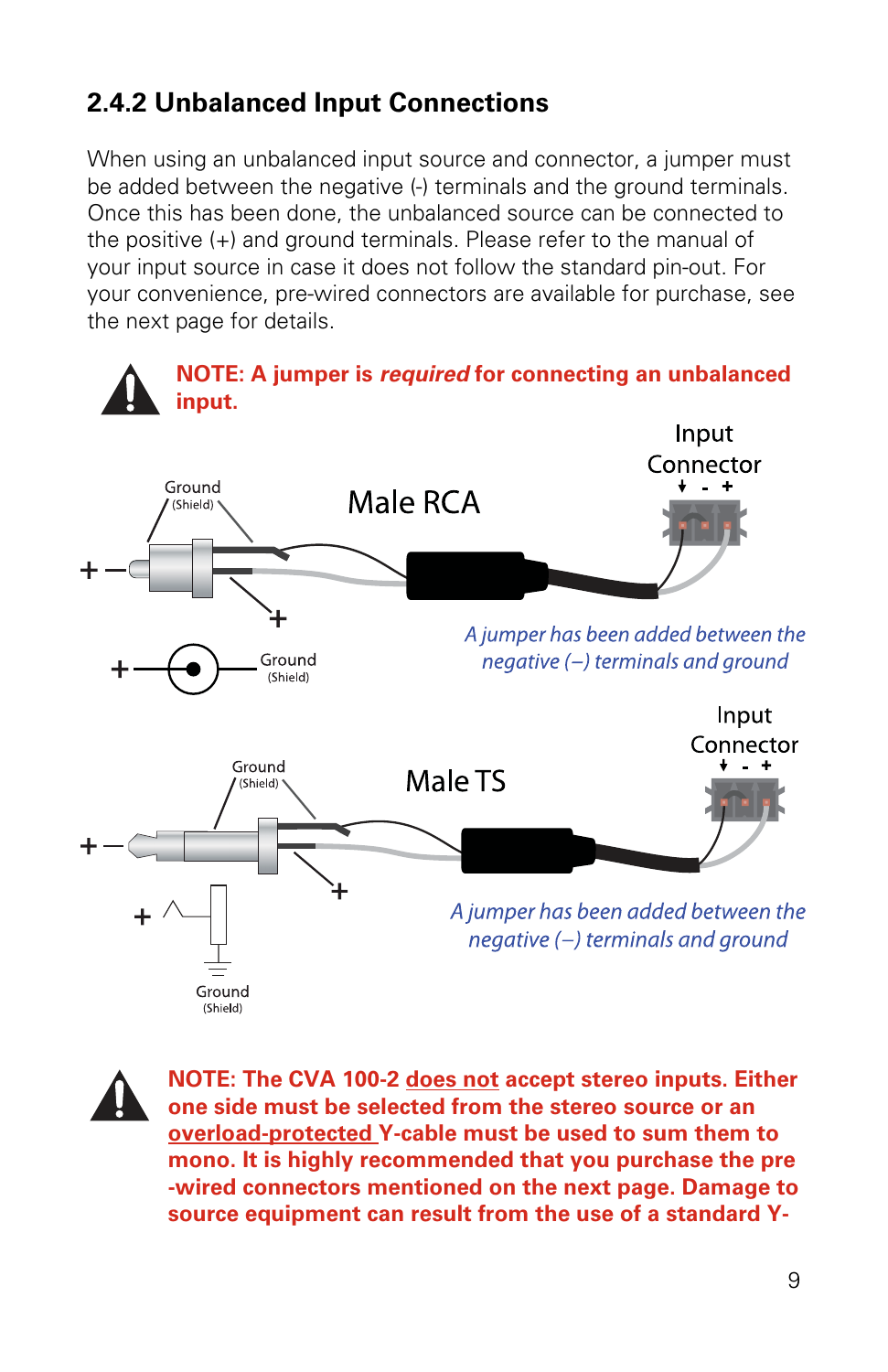### **2.4.2 Unbalanced Input Connections**

When using an unbalanced input source and connector, a jumper must be added between the negative (-) terminals and the ground terminals. Once this has been done, the unbalanced source can be connected to the positive (+) and ground terminals. Please refer to the manual of your input source in case it does not follow the standard pin-out. For your convenience, pre-wired connectors are available for purchase, see the next page for details.



**NOTE: The CVA 100-2 does not accept stereo inputs. Either one side must be selected from the stereo source or an overload-protected Y-cable must be used to sum them to mono. It is highly recommended that you purchase the pre -wired connectors mentioned on the next page. Damage to source equipment can result from the use of a standard Y-**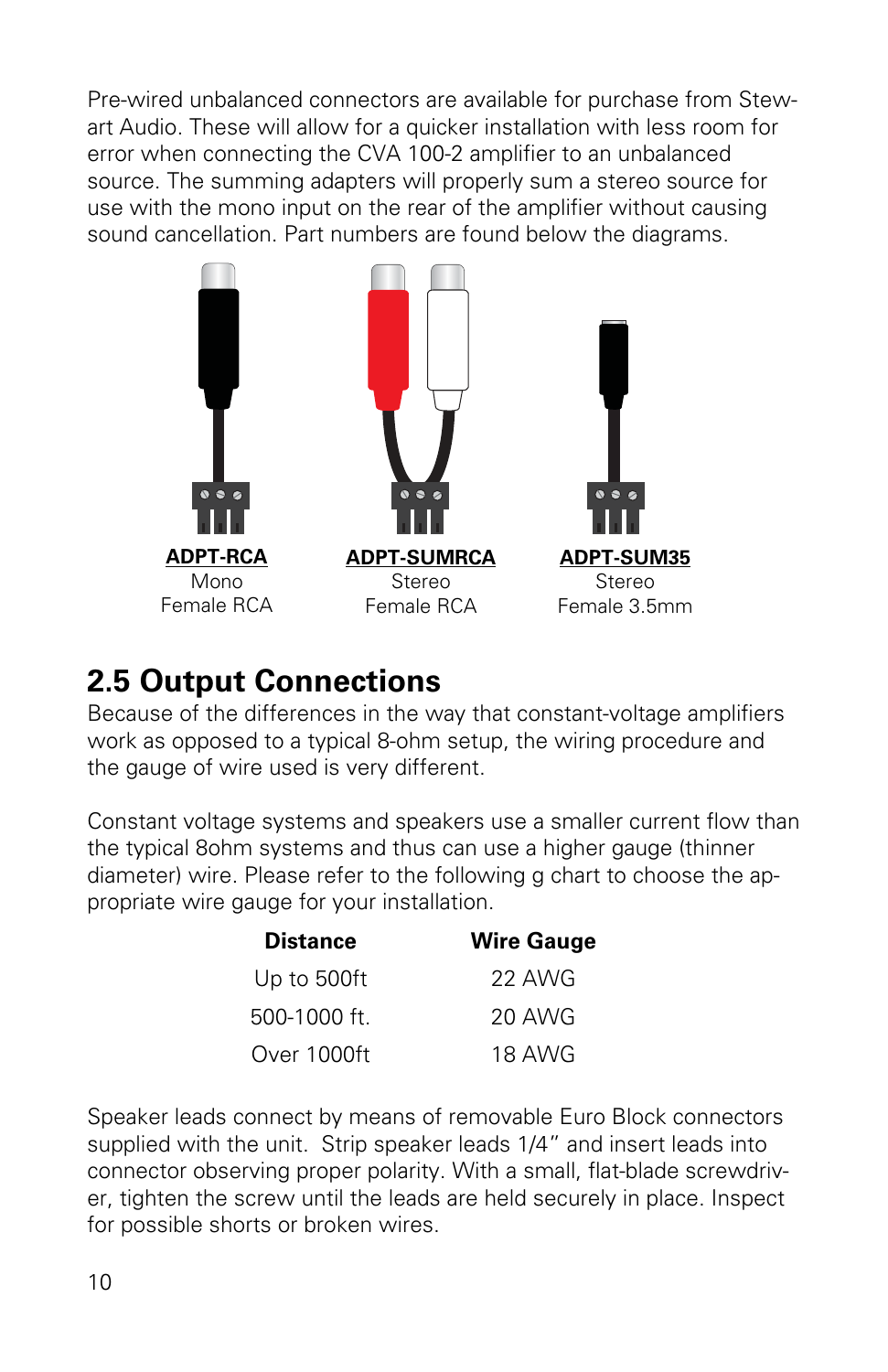Pre-wired unbalanced connectors are available for purchase from Stewart Audio. These will allow for a quicker installation with less room for error when connecting the CVA 100-2 amplifier to an unbalanced source. The summing adapters will properly sum a stereo source for use with the mono input on the rear of the amplifier without causing sound cancellation. Part numbers are found below the diagrams.



## **2.5 Output Connections**

Because of the differences in the way that constant-voltage amplifiers work as opposed to a typical 8-ohm setup, the wiring procedure and the gauge of wire used is very different.

Constant voltage systems and speakers use a smaller current flow than the typical 8ohm systems and thus can use a higher gauge (thinner diameter) wire. Please refer to the following g chart to choose the appropriate wire gauge for your installation.

| <b>Distance</b> | <b>Wire Gauge</b> |
|-----------------|-------------------|
| Up to 500ft     | 22 AWG            |
| 500-1000 ft.    | 20 AWG            |
| Over 1000ft     | 18 AWG            |

Speaker leads connect by means of removable Euro Block connectors supplied with the unit. Strip speaker leads 1/4" and insert leads into connector observing proper polarity. With a small, flat-blade screwdriver, tighten the screw until the leads are held securely in place. Inspect for possible shorts or broken wires.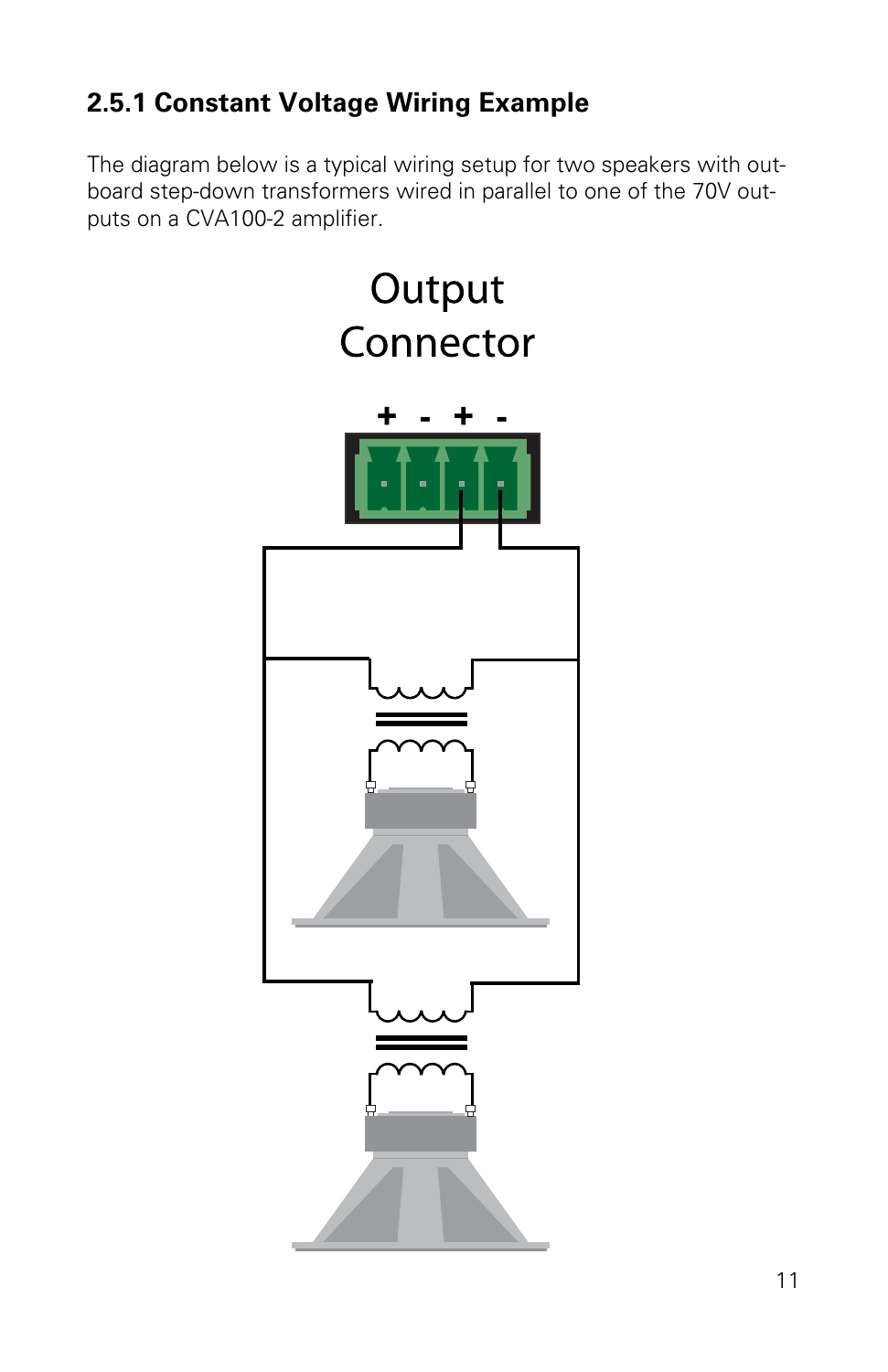### **2.5.1 Constant Voltage Wiring Example**

The diagram below is a typical wiring setup for two speakers with outboard step-down transformers wired in parallel to one of the 70V outputs on a CVA100-2 amplifier.

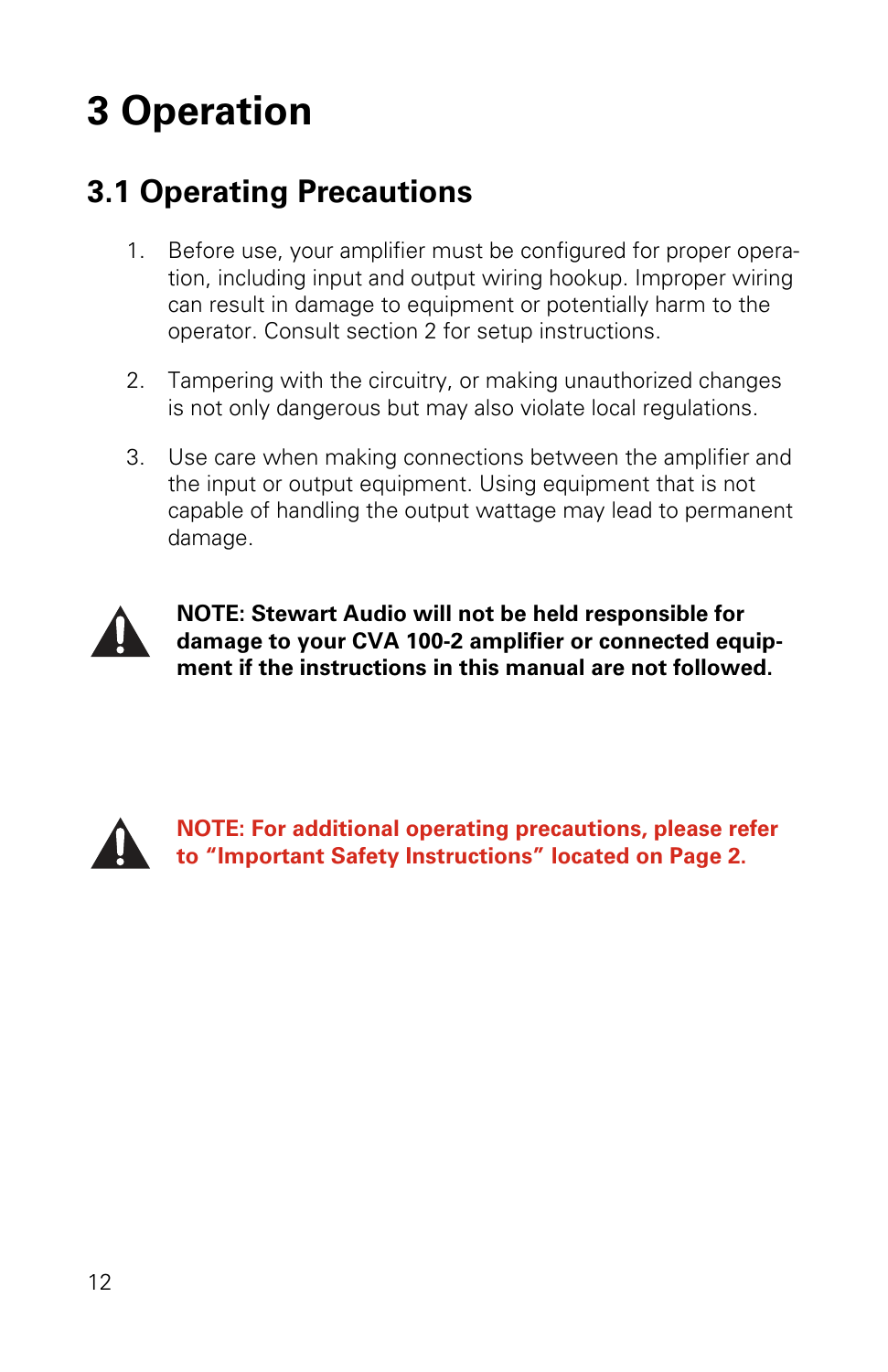## **3 Operation**

## **3.1 Operating Precautions**

- 1. Before use, your amplifier must be configured for proper operation, including input and output wiring hookup. Improper wiring can result in damage to equipment or potentially harm to the operator. Consult section 2 for setup instructions.
- 2. Tampering with the circuitry, or making unauthorized changes is not only dangerous but may also violate local regulations.
- 3. Use care when making connections between the amplifier and the input or output equipment. Using equipment that is not capable of handling the output wattage may lead to permanent damage.



**NOTE: Stewart Audio will not be held responsible for damage to your CVA 100-2 amplifier or connected equipment if the instructions in this manual are not followed.** 



**NOTE: For additional operating precautions, please refer to "Important Safety Instructions" located on Page 2.**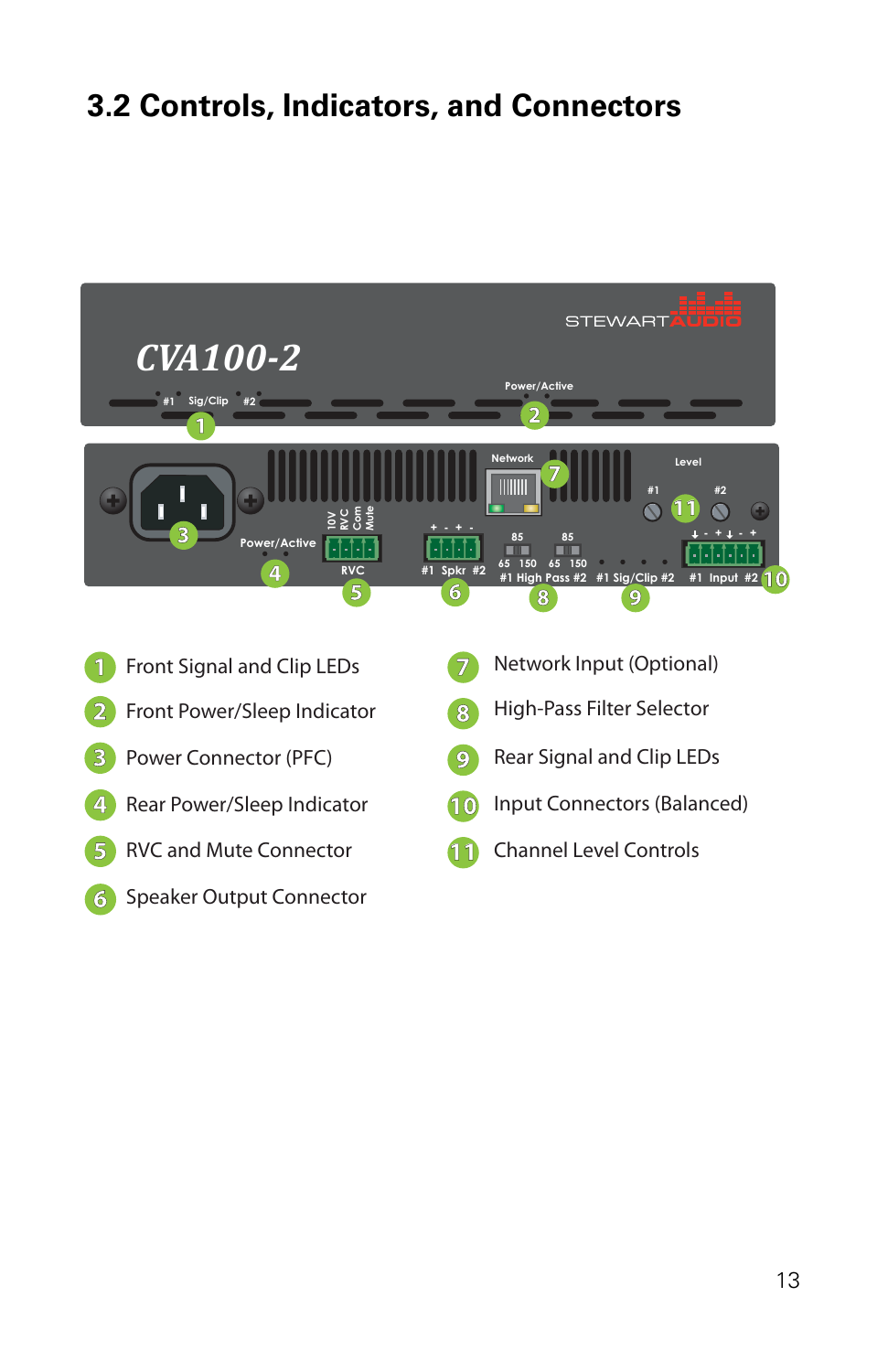## **3.2 Controls, Indicators, and Connectors**

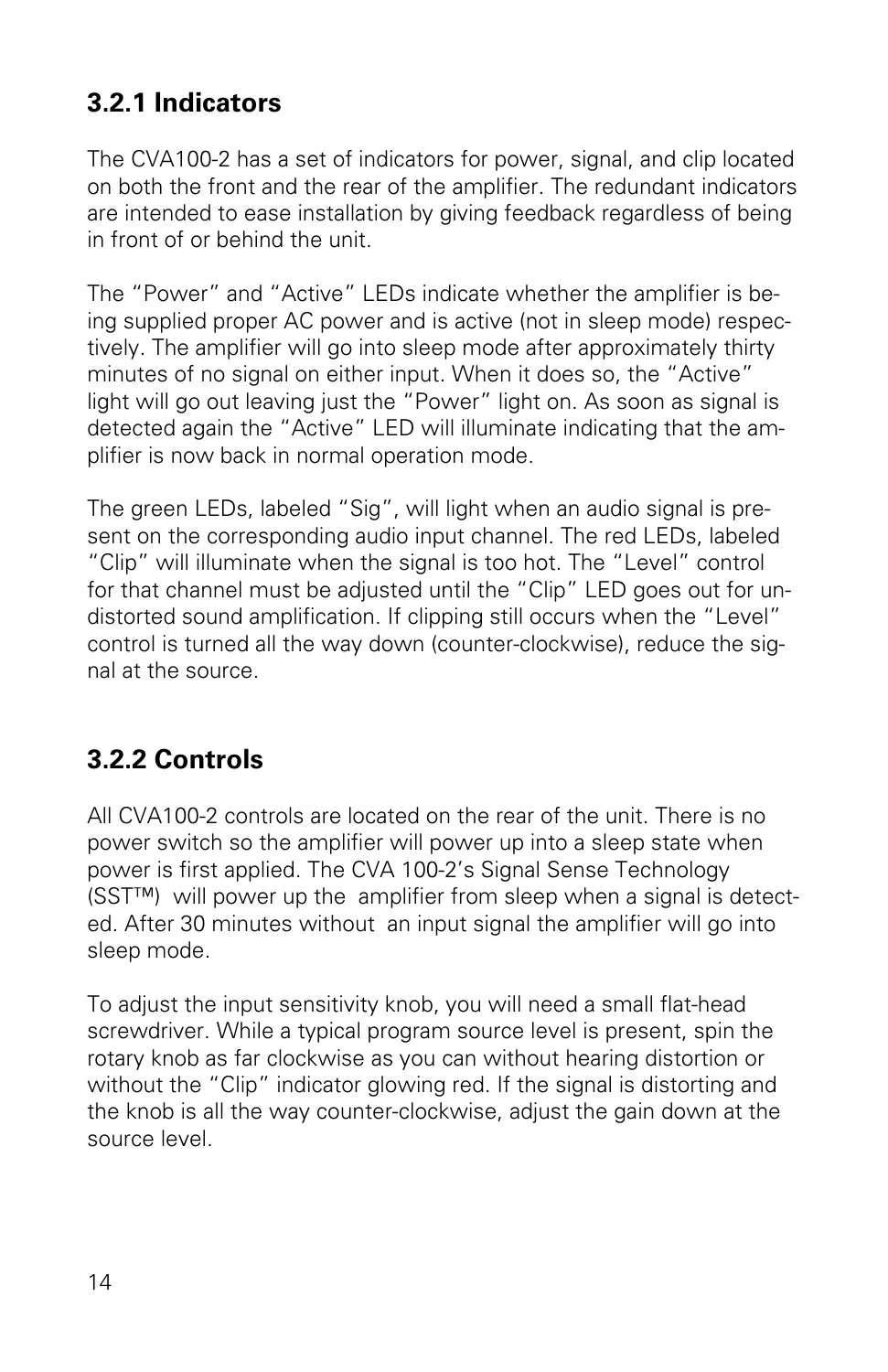### **3.2.1 Indicators**

The CVA100-2 has a set of indicators for power, signal, and clip located on both the front and the rear of the amplifier. The redundant indicators are intended to ease installation by giving feedback regardless of being in front of or behind the unit.

The "Power" and "Active" LEDs indicate whether the amplifier is being supplied proper AC power and is active (not in sleep mode) respectively. The amplifier will go into sleep mode after approximately thirty minutes of no signal on either input. When it does so, the "Active" light will go out leaving just the "Power" light on. As soon as signal is detected again the "Active" LED will illuminate indicating that the amplifier is now back in normal operation mode.

The green LEDs, labeled "Sig", will light when an audio signal is present on the corresponding audio input channel. The red LEDs, labeled "Clip" will illuminate when the signal is too hot. The "Level" control for that channel must be adjusted until the "Clip" LED goes out for undistorted sound amplification. If clipping still occurs when the "Level" control is turned all the way down (counter-clockwise), reduce the signal at the source.

#### **3.2.2 Controls**

All CVA100-2 controls are located on the rear of the unit. There is no power switch so the amplifier will power up into a sleep state when power is first applied. The CVA 100-2's Signal Sense Technology (SST™) will power up the amplifier from sleep when a signal is detected. After 30 minutes without an input signal the amplifier will go into sleep mode.

To adjust the input sensitivity knob, you will need a small flat-head screwdriver. While a typical program source level is present, spin the rotary knob as far clockwise as you can without hearing distortion or without the "Clip" indicator glowing red. If the signal is distorting and the knob is all the way counter-clockwise, adjust the gain down at the source level.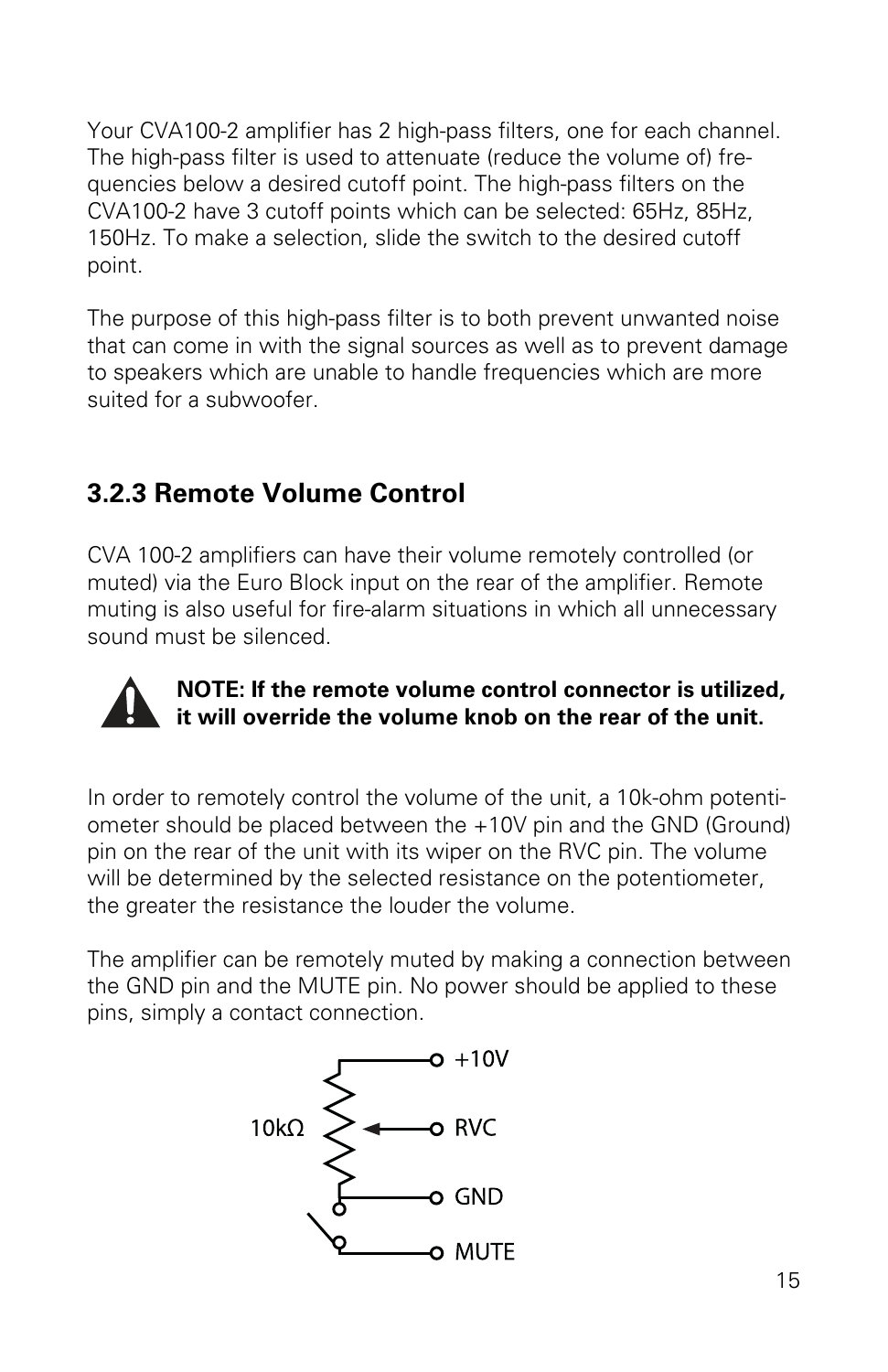Your CVA100-2 amplifier has 2 high-pass filters, one for each channel. The high-pass filter is used to attenuate (reduce the volume of) frequencies below a desired cutoff point. The high-pass filters on the CVA100-2 have 3 cutoff points which can be selected: 65Hz, 85Hz, 150Hz. To make a selection, slide the switch to the desired cutoff point.

The purpose of this high-pass filter is to both prevent unwanted noise that can come in with the signal sources as well as to prevent damage to speakers which are unable to handle frequencies which are more suited for a subwoofer.

### **3.2.3 Remote Volume Control**

CVA 100-2 amplifiers can have their volume remotely controlled (or muted) via the Euro Block input on the rear of the amplifier. Remote muting is also useful for fire-alarm situations in which all unnecessary sound must be silenced.



#### **NOTE: If the remote volume control connector is utilized, it will override the volume knob on the rear of the unit.**

In order to remotely control the volume of the unit, a 10k-ohm potentiometer should be placed between the +10V pin and the GND (Ground) pin on the rear of the unit with its wiper on the RVC pin. The volume will be determined by the selected resistance on the potentiometer, the greater the resistance the louder the volume.

The amplifier can be remotely muted by making a connection between the GND pin and the MUTE pin. No power should be applied to these pins, simply a contact connection.

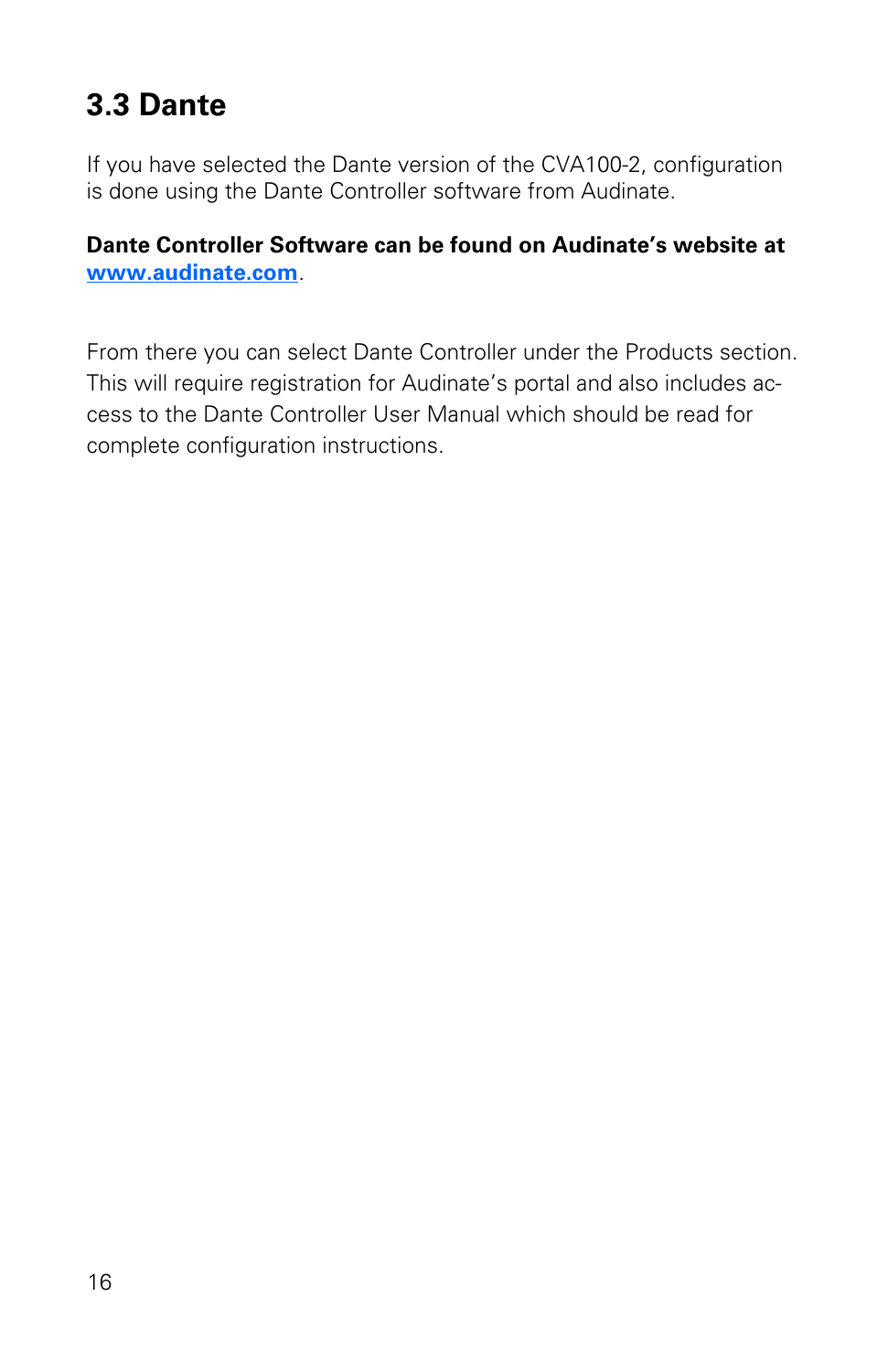## **3.3 Dante**

If you have selected the Dante version of the CVA100-2, configuration is done using the Dante Controller software from Audinate.

**Dante Controller Software can be found on Audinate's website at www.audinate.com**.

From there you can select Dante Controller under the Products section. This will require registration for Audinate's portal and also includes access to the Dante Controller User Manual which should be read for complete configuration instructions.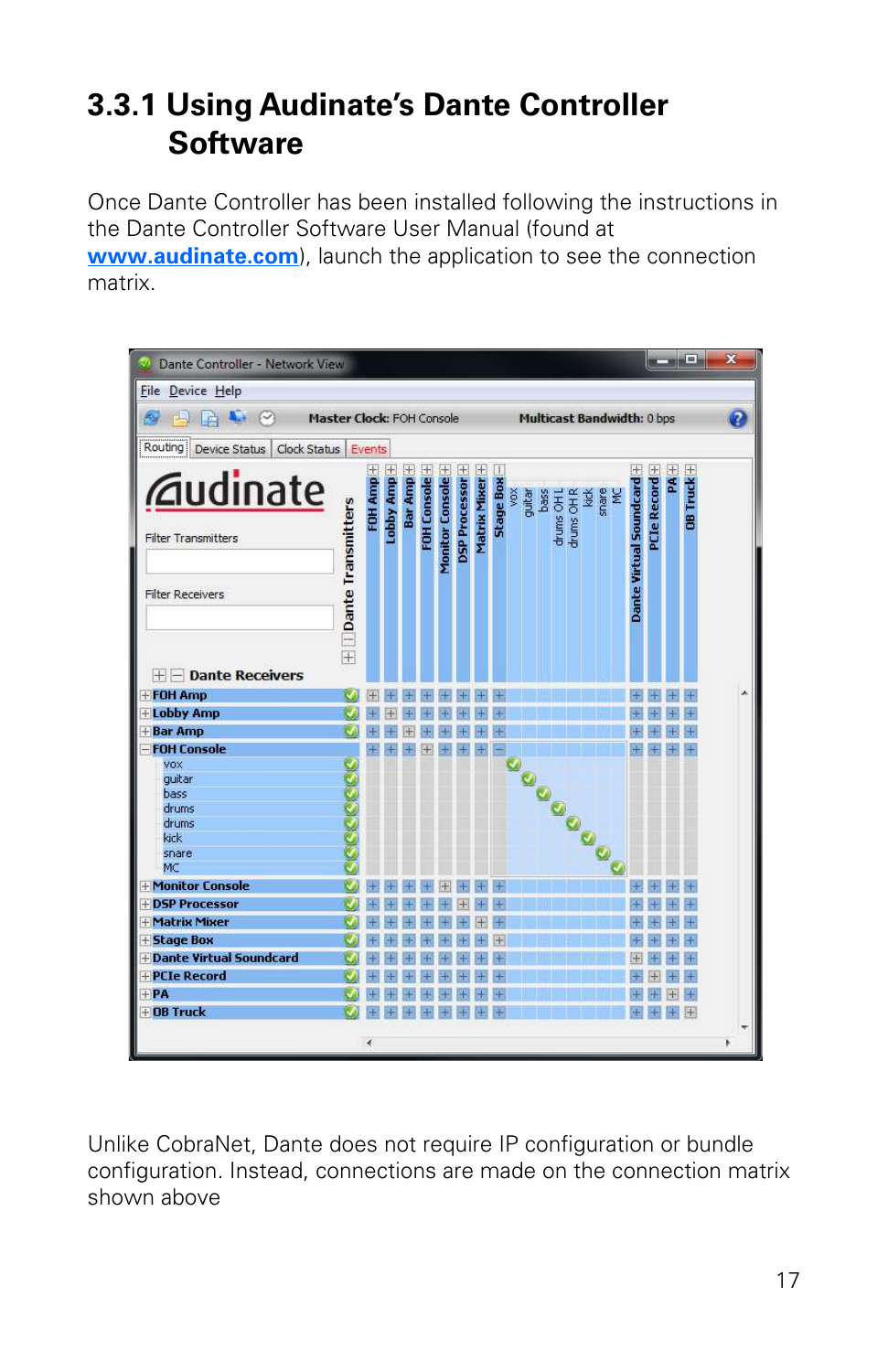## **3.3.1 Using Audinate's Dante Controller Software**

Once Dante Controller has been installed following the instructions in the Dante Controller Software User Manual (found at **www.audinate.com**), launch the application to see the connection matrix.



Unlike CobraNet, Dante does not require IP configuration or bundle configuration. Instead, connections are made on the connection matrix shown above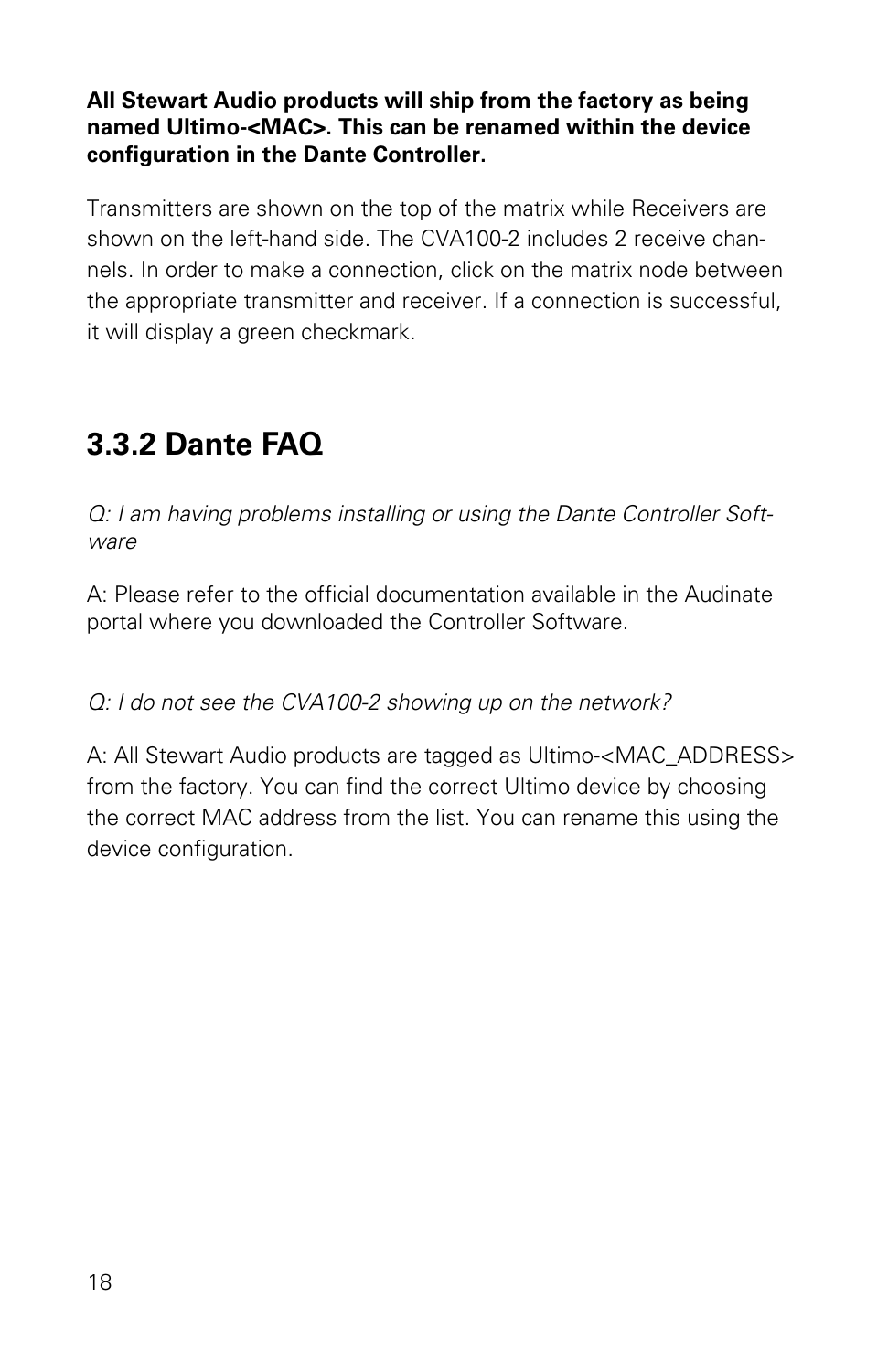#### **All Stewart Audio products will ship from the factory as being named Ultimo-<MAC>. This can be renamed within the device configuration in the Dante Controller.**

Transmitters are shown on the top of the matrix while Receivers are shown on the left-hand side. The CVA100-2 includes 2 receive channels. In order to make a connection, click on the matrix node between the appropriate transmitter and receiver. If a connection is successful, it will display a green checkmark.

## **3.3.2 Dante FAQ**

Q: I am having problems installing or using the Dante Controller Software

A: Please refer to the official documentation available in the Audinate portal where you downloaded the Controller Software.

#### Q: I do not see the CVA100-2 showing up on the network?

A: All Stewart Audio products are tagged as Ultimo-<MAC\_ADDRESS> from the factory. You can find the correct Ultimo device by choosing the correct MAC address from the list. You can rename this using the device configuration.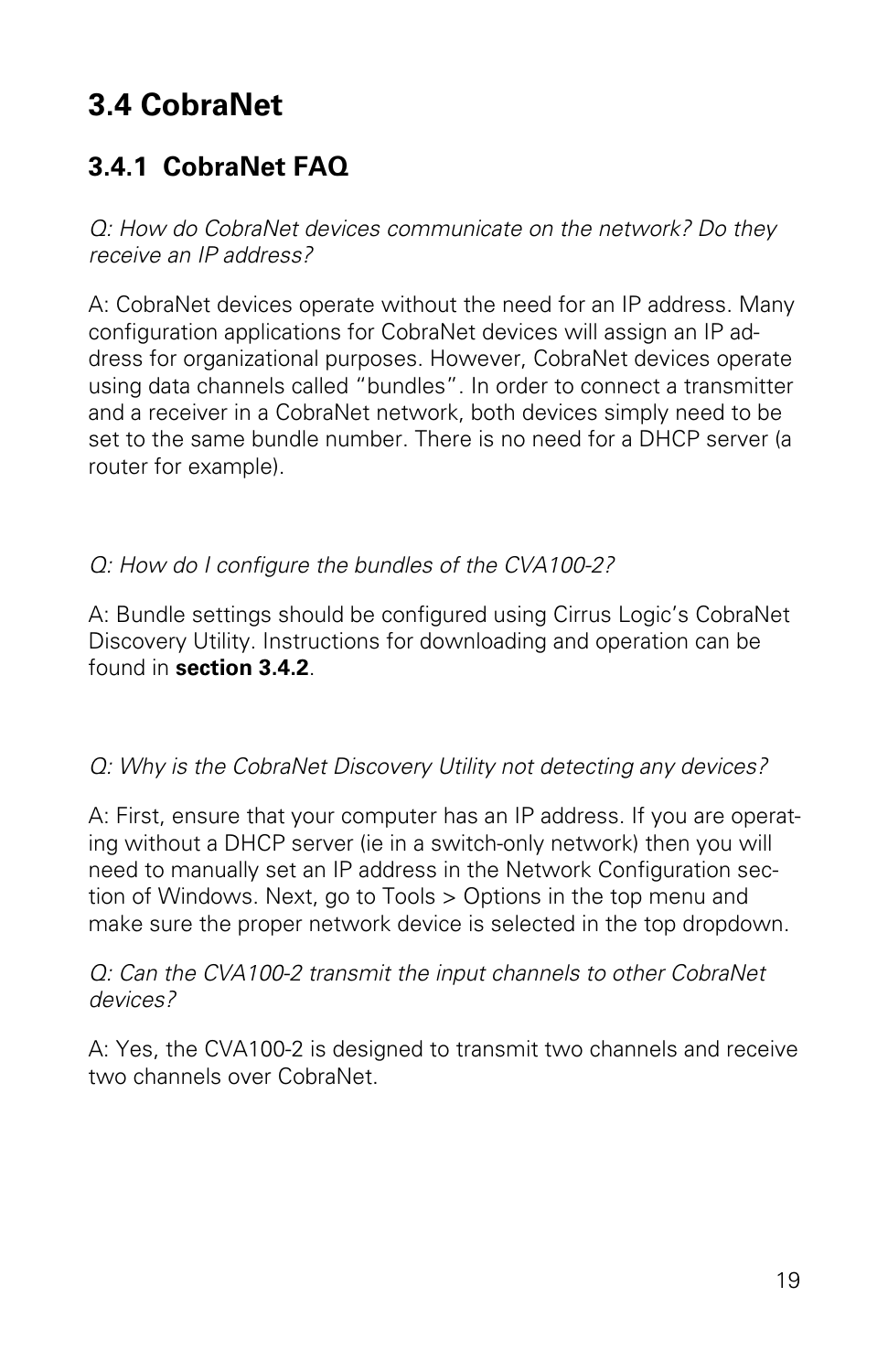## **3.4 CobraNet**

### **3.4.1 CobraNet FAQ**

Q: How do CobraNet devices communicate on the network? Do they receive an IP address?

A: CobraNet devices operate without the need for an IP address. Many configuration applications for CobraNet devices will assign an IP address for organizational purposes. However, CobraNet devices operate using data channels called "bundles". In order to connect a transmitter and a receiver in a CobraNet network, both devices simply need to be set to the same bundle number. There is no need for a DHCP server (a router for example).

#### Q: How do I configure the bundles of the CVA100-2?

A: Bundle settings should be configured using Cirrus Logic's CobraNet Discovery Utility. Instructions for downloading and operation can be found in **section 3.4.2**.

#### Q: Why is the CobraNet Discovery Utility not detecting any devices?

A: First, ensure that your computer has an IP address. If you are operating without a DHCP server (ie in a switch-only network) then you will need to manually set an IP address in the Network Configuration section of Windows. Next, go to Tools > Options in the top menu and make sure the proper network device is selected in the top dropdown.

#### Q: Can the CVA100-2 transmit the input channels to other CobraNet devices?

A: Yes, the CVA100-2 is designed to transmit two channels and receive two channels over CobraNet.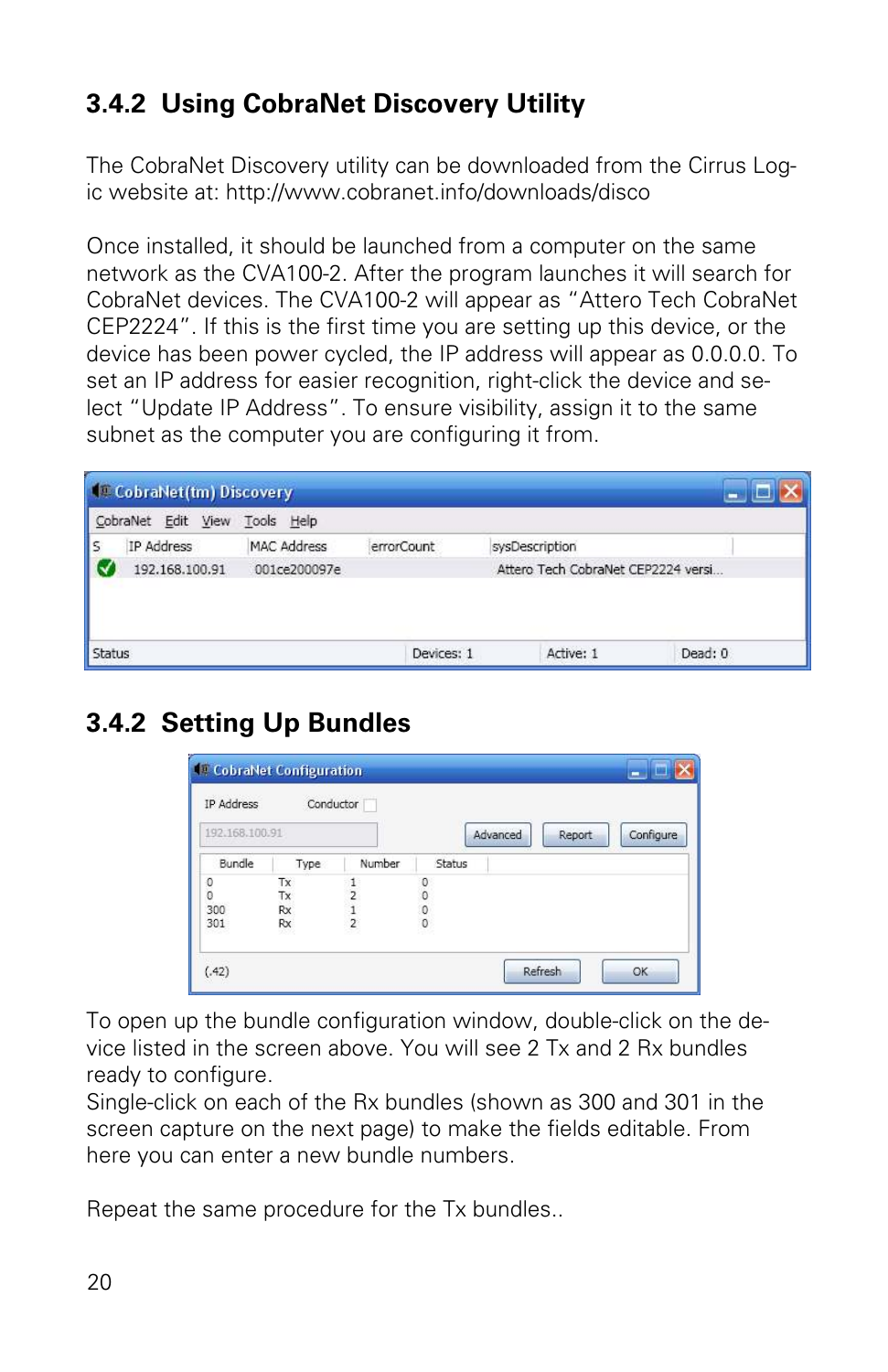### **3.4.2 Using CobraNet Discovery Utility**

The CobraNet Discovery utility can be downloaded from the Cirrus Logic website at: http://www.cobranet.info/downloads/disco

Once installed, it should be launched from a computer on the same network as the CVA100-2. After the program launches it will search for CobraNet devices. The CVA100-2 will appear as "Attero Tech CobraNet CEP2224". If this is the first time you are setting up this device, or the device has been power cycled, the IP address will appear as 0.0.0.0. To set an IP address for easier recognition, right-click the device and select "Update IP Address". To ensure visibility, assign it to the same subnet as the computer you are configuring it from.

|               | CobraNet(tm) Discovery        |                    |            |                |                                    |  |
|---------------|-------------------------------|--------------------|------------|----------------|------------------------------------|--|
|               | CobraNet Edit View Tools Help |                    |            |                |                                    |  |
| ls            | IP Address                    | <b>MAC Address</b> | errorCount | sysDescription |                                    |  |
|               | 192.168.100.91                | 001ce200097e       |            |                | Attero Tech CobraNet CEP2224 versi |  |
| <b>Status</b> |                               |                    | Devices: 1 | Active: 1      | Dead: 0                            |  |

### **3.4.2 Setting Up Bundles**

| IP Address                                 | Conductor |               |                                            |        |          |        |           |
|--------------------------------------------|-----------|---------------|--------------------------------------------|--------|----------|--------|-----------|
| 192.168.100.91                             |           |               |                                            |        | Advanced | Report | Configure |
| Bundle                                     | Type      | Number        |                                            | Status |          |        |           |
| $\begin{smallmatrix}0\\0\end{smallmatrix}$ | Tx        |               | $\begin{smallmatrix}0\\0\end{smallmatrix}$ |        |          |        |           |
|                                            | Tx        | 5             |                                            |        |          |        |           |
| 300                                        | Rx        | $\frac{1}{2}$ | $\mathbf 0$                                |        |          |        |           |
| 301                                        | Rx        |               | $\theta$                                   |        |          |        |           |

To open up the bundle configuration window, double-click on the device listed in the screen above. You will see 2 Tx and 2 Rx bundles ready to configure.

Single-click on each of the Rx bundles (shown as 300 and 301 in the screen capture on the next page) to make the fields editable. From here you can enter a new bundle numbers.

Repeat the same procedure for the Tx bundles..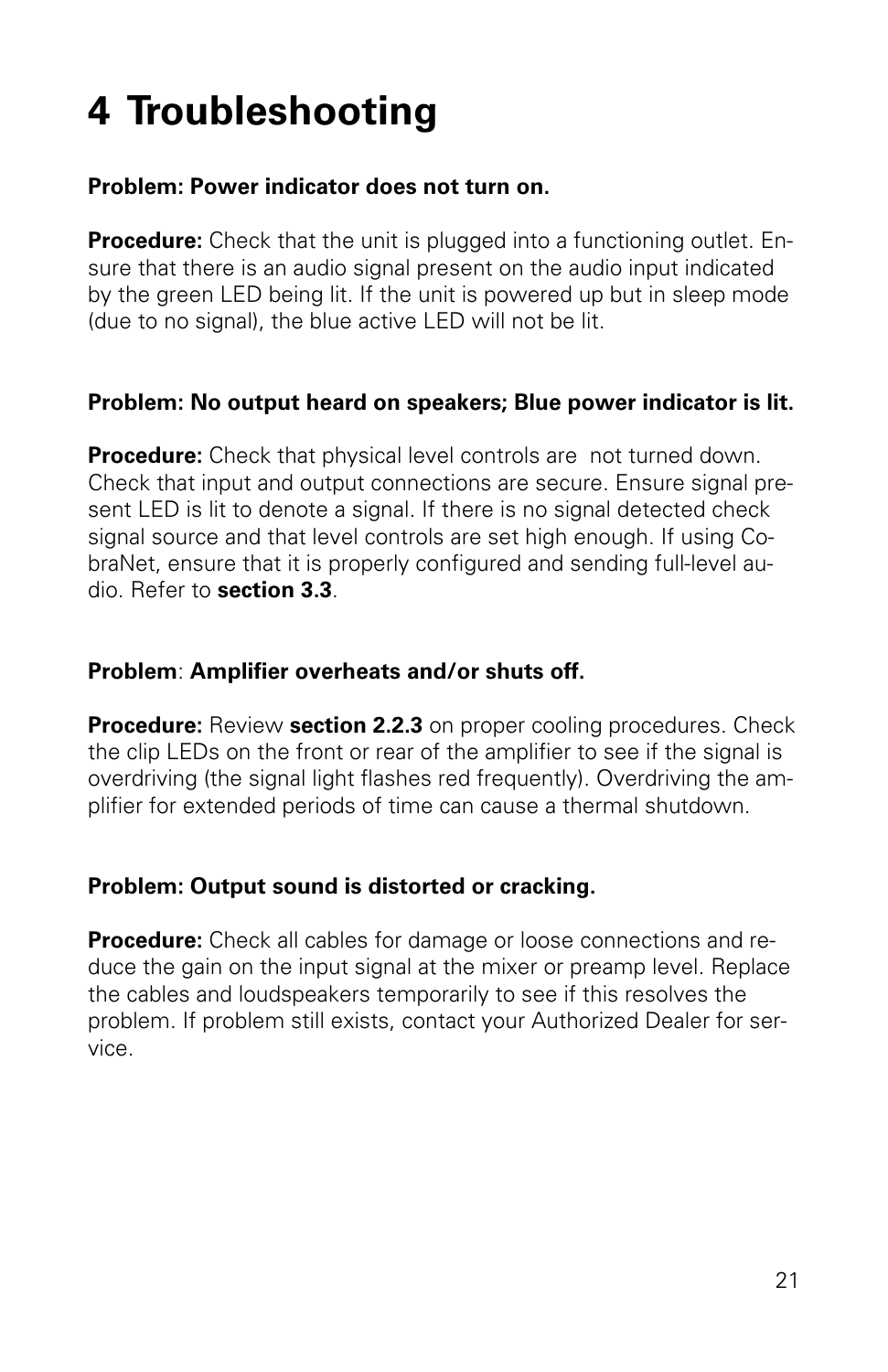## **4 Troubleshooting**

#### **Problem: Power indicator does not turn on.**

**Procedure:** Check that the unit is plugged into a functioning outlet. Ensure that there is an audio signal present on the audio input indicated by the green LED being lit. If the unit is powered up but in sleep mode (due to no signal), the blue active LED will not be lit.

#### **Problem: No output heard on speakers; Blue power indicator is lit.**

**Procedure:** Check that physical level controls are not turned down. Check that input and output connections are secure. Ensure signal present LED is lit to denote a signal. If there is no signal detected check signal source and that level controls are set high enough. If using CobraNet, ensure that it is properly configured and sending full-level audio. Refer to **section 3.3**.

#### **Problem**: **Amplifier overheats and/or shuts off.**

**Procedure:** Review **section 2.2.3** on proper cooling procedures. Check the clip LEDs on the front or rear of the amplifier to see if the signal is overdriving (the signal light flashes red frequently). Overdriving the amplifier for extended periods of time can cause a thermal shutdown.

#### **Problem: Output sound is distorted or cracking.**

**Procedure:** Check all cables for damage or loose connections and reduce the gain on the input signal at the mixer or preamp level. Replace the cables and loudspeakers temporarily to see if this resolves the problem. If problem still exists, contact your Authorized Dealer for service.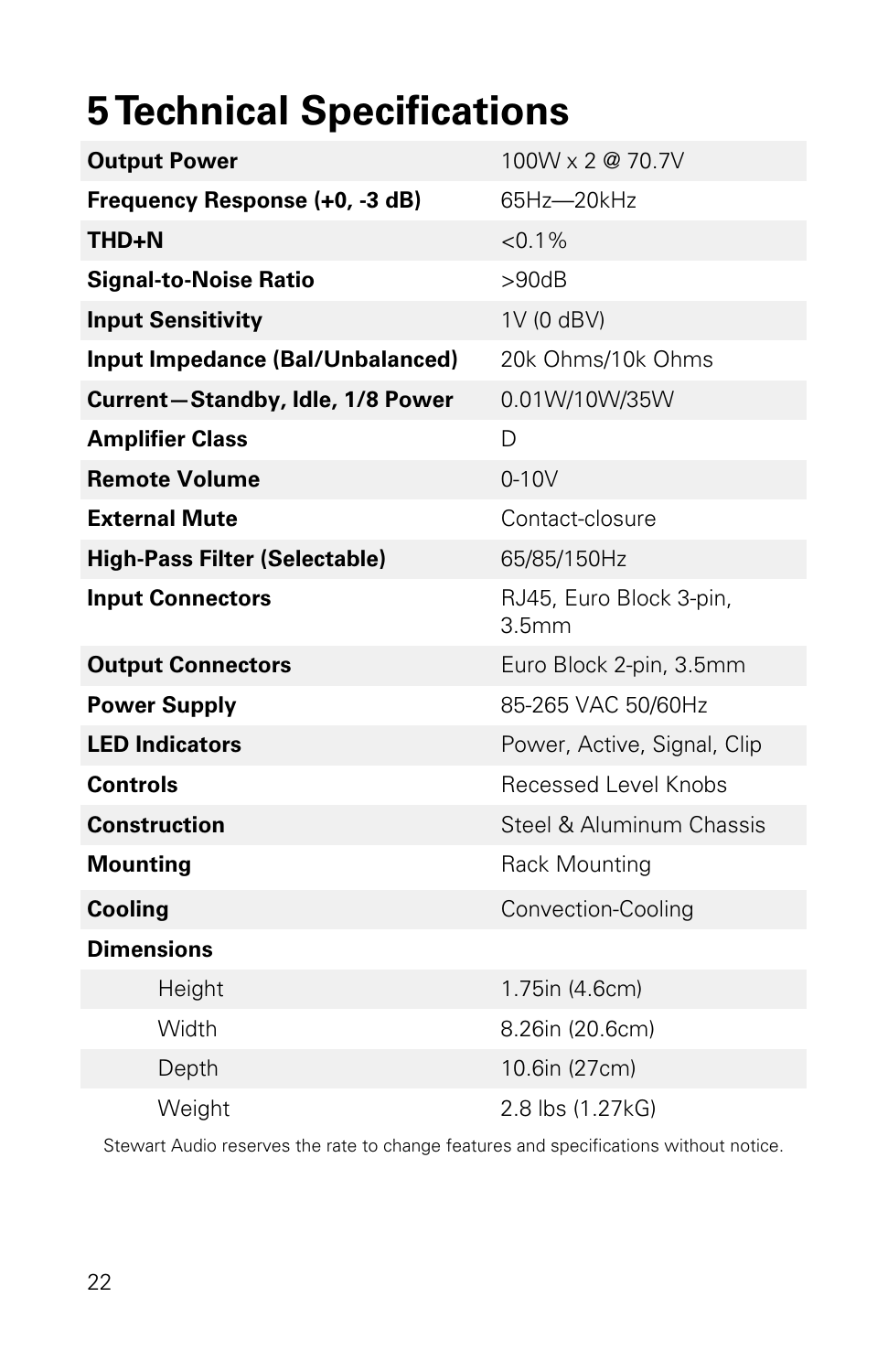## **5 Technical Specifications**

| <b>Output Power</b>                  | 100W x 2 @ 70.7V                             |
|--------------------------------------|----------------------------------------------|
| Frequency Response (+0, -3 dB)       | 65Hz-20kHz                                   |
| <b>THD+N</b>                         | $< 0.1\%$                                    |
| <b>Signal-to-Noise Ratio</b>         | >90dB                                        |
| <b>Input Sensitivity</b>             | 1V (0 dBV)                                   |
| Input Impedance (Bal/Unbalanced)     | 20k Ohms/10k Ohms                            |
| Current-Standby, Idle, 1/8 Power     | 0.01W/10W/35W                                |
| <b>Amplifier Class</b>               | D                                            |
| <b>Remote Volume</b>                 | $0-10V$                                      |
| <b>External Mute</b>                 | Contact-closure                              |
| <b>High-Pass Filter (Selectable)</b> | 65/85/150Hz                                  |
| <b>Input Connectors</b>              | RJ45, Euro Block 3-pin,<br>3.5 <sub>mm</sub> |
| <b>Output Connectors</b>             | Euro Block 2-pin, 3.5mm                      |
| <b>Power Supply</b>                  | 85-265 VAC 50/60Hz                           |
| <b>LED Indicators</b>                | Power, Active, Signal, Clip                  |
| <b>Controls</b>                      | Recessed Level Knobs                         |
| <b>Construction</b>                  | Steel & Aluminum Chassis                     |
| <b>Mounting</b>                      | Rack Mounting                                |
| <b>Cooling</b>                       | Convection-Cooling                           |
| <b>Dimensions</b>                    |                                              |
| Height                               | 1.75in (4.6cm)                               |
| Width                                | 8.26in (20.6cm)                              |
| Depth                                | 10.6in (27cm)                                |
| Weight                               | 2.8 lbs (1.27kG)                             |

Stewart Audio reserves the rate to change features and specifications without notice.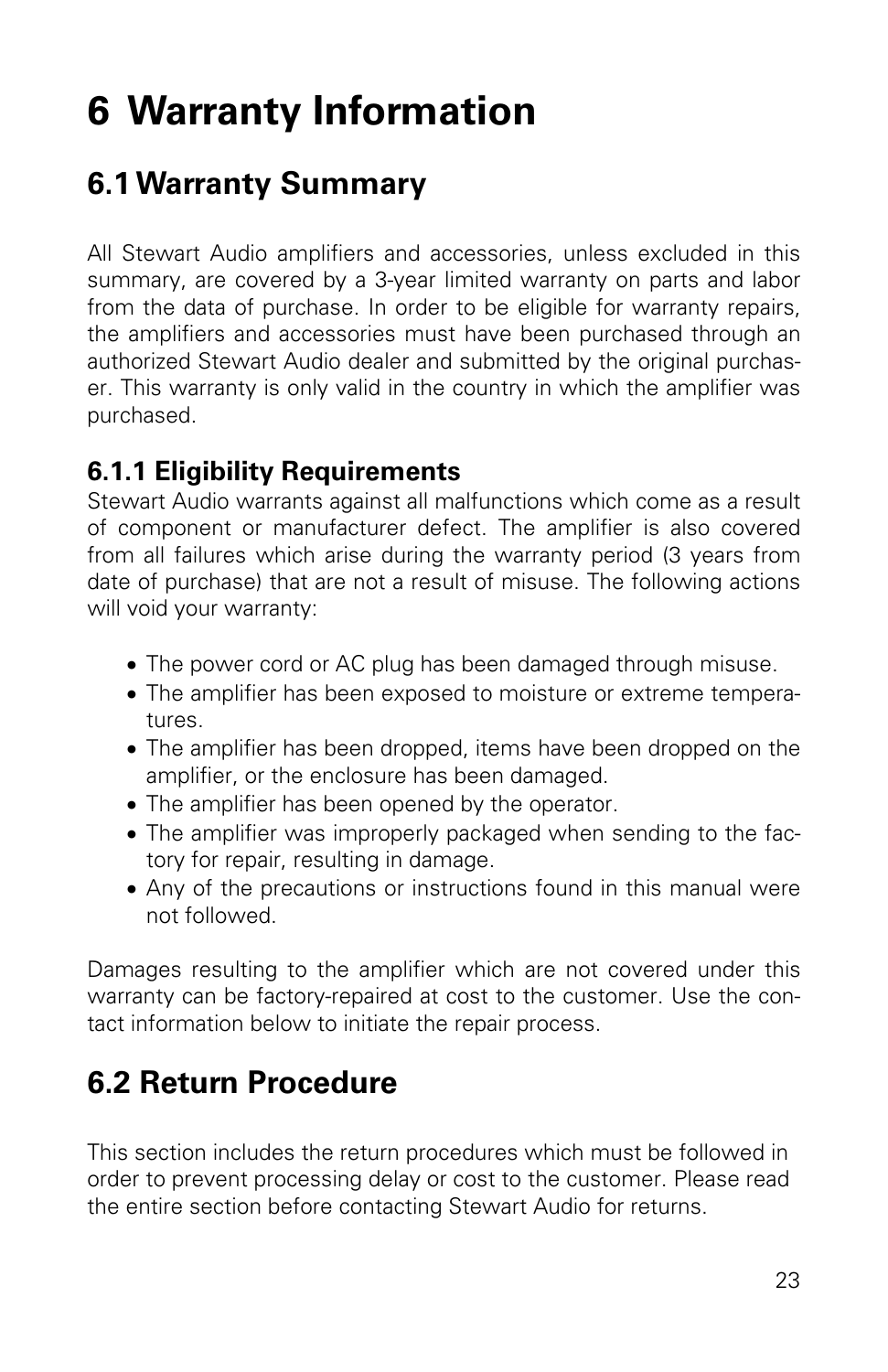## **6 Warranty Information**

## **6.1 Warranty Summary**

All Stewart Audio amplifiers and accessories, unless excluded in this summary, are covered by a 3-year limited warranty on parts and labor from the data of purchase. In order to be eligible for warranty repairs, the amplifiers and accessories must have been purchased through an authorized Stewart Audio dealer and submitted by the original purchaser. This warranty is only valid in the country in which the amplifier was purchased.

#### **6.1.1 Eligibility Requirements**

Stewart Audio warrants against all malfunctions which come as a result of component or manufacturer defect. The amplifier is also covered from all failures which arise during the warranty period (3 years from date of purchase) that are not a result of misuse. The following actions will void your warranty:

- The power cord or AC plug has been damaged through misuse.
- The amplifier has been exposed to moisture or extreme temperatures.
- The amplifier has been dropped, items have been dropped on the amplifier, or the enclosure has been damaged.
- The amplifier has been opened by the operator.
- The amplifier was improperly packaged when sending to the factory for repair, resulting in damage.
- Any of the precautions or instructions found in this manual were not followed.

Damages resulting to the amplifier which are not covered under this warranty can be factory-repaired at cost to the customer. Use the contact information below to initiate the repair process.

## **6.2 Return Procedure**

This section includes the return procedures which must be followed in order to prevent processing delay or cost to the customer. Please read the entire section before contacting Stewart Audio for returns.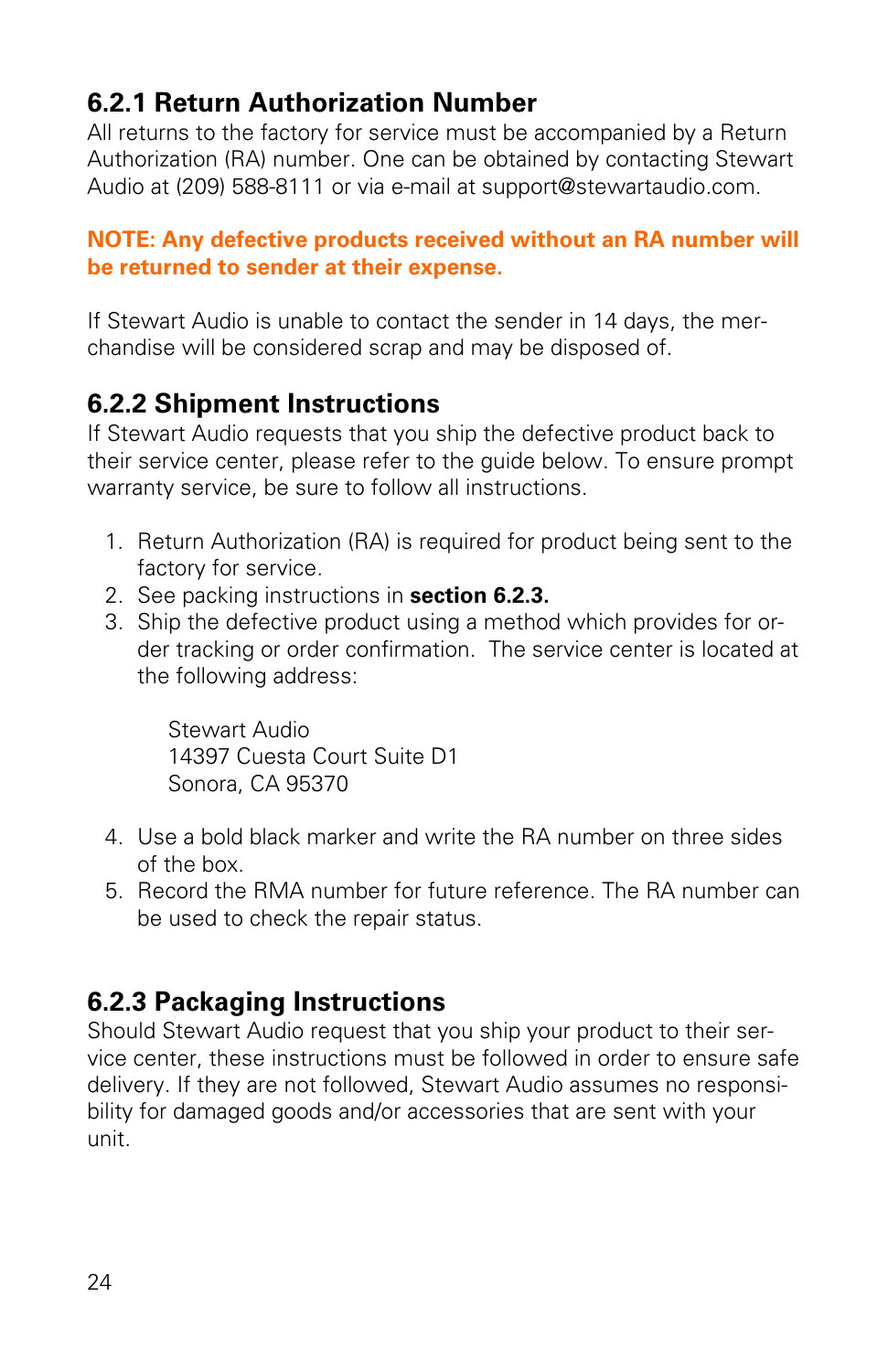#### **6.2.1 Return Authorization Number**

All returns to the factory for service must be accompanied by a Return Authorization (RA) number. One can be obtained by contacting Stewart Audio at (209) 588-8111 or via e-mail at support@stewartaudio.com.

#### **NOTE: Any defective products received without an RA number will be returned to sender at their expense.**

If Stewart Audio is unable to contact the sender in 14 days, the merchandise will be considered scrap and may be disposed of.

#### **6.2.2 Shipment Instructions**

If Stewart Audio requests that you ship the defective product back to their service center, please refer to the guide below. To ensure prompt warranty service, be sure to follow all instructions.

- 1. Return Authorization (RA) is required for product being sent to the factory for service.
- 2. See packing instructions in **section 6.2.3.**
- 3. Ship the defective product using a method which provides for order tracking or order confirmation. The service center is located at the following address:

Stewart Audio 14397 Cuesta Court Suite D1 Sonora, CA 95370

- 4. Use a bold black marker and write the RA number on three sides of the box.
- 5. Record the RMA number for future reference. The RA number can be used to check the repair status.

#### **6.2.3 Packaging Instructions**

Should Stewart Audio request that you ship your product to their service center, these instructions must be followed in order to ensure safe delivery. If they are not followed, Stewart Audio assumes no responsibility for damaged goods and/or accessories that are sent with your unit.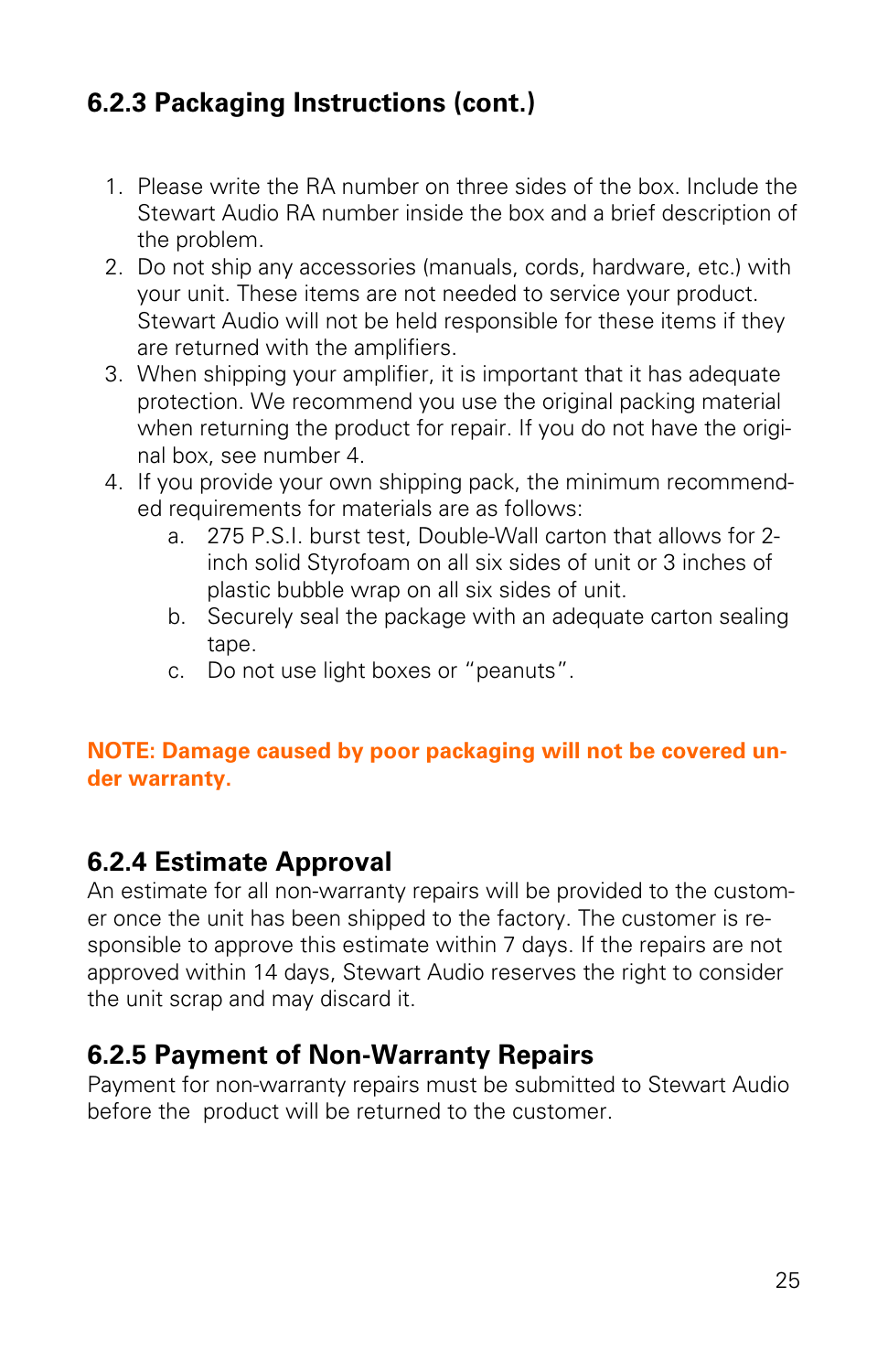#### **6.2.3 Packaging Instructions (cont.)**

- 1. Please write the RA number on three sides of the box. Include the Stewart Audio RA number inside the box and a brief description of the problem.
- 2. Do not ship any accessories (manuals, cords, hardware, etc.) with your unit. These items are not needed to service your product. Stewart Audio will not be held responsible for these items if they are returned with the amplifiers.
- 3. When shipping your amplifier, it is important that it has adequate protection. We recommend you use the original packing material when returning the product for repair. If you do not have the original box, see number 4.
- 4. If you provide your own shipping pack, the minimum recommended requirements for materials are as follows:
	- a. 275 P.S.I. burst test, Double-Wall carton that allows for 2 inch solid Styrofoam on all six sides of unit or 3 inches of plastic bubble wrap on all six sides of unit.
	- b. Securely seal the package with an adequate carton sealing tape.
	- c. Do not use light boxes or "peanuts".

#### **NOTE: Damage caused by poor packaging will not be covered under warranty.**

#### **6.2.4 Estimate Approval**

An estimate for all non-warranty repairs will be provided to the customer once the unit has been shipped to the factory. The customer is responsible to approve this estimate within 7 days. If the repairs are not approved within 14 days, Stewart Audio reserves the right to consider the unit scrap and may discard it.

#### **6.2.5 Payment of Non-Warranty Repairs**

Payment for non-warranty repairs must be submitted to Stewart Audio before the product will be returned to the customer.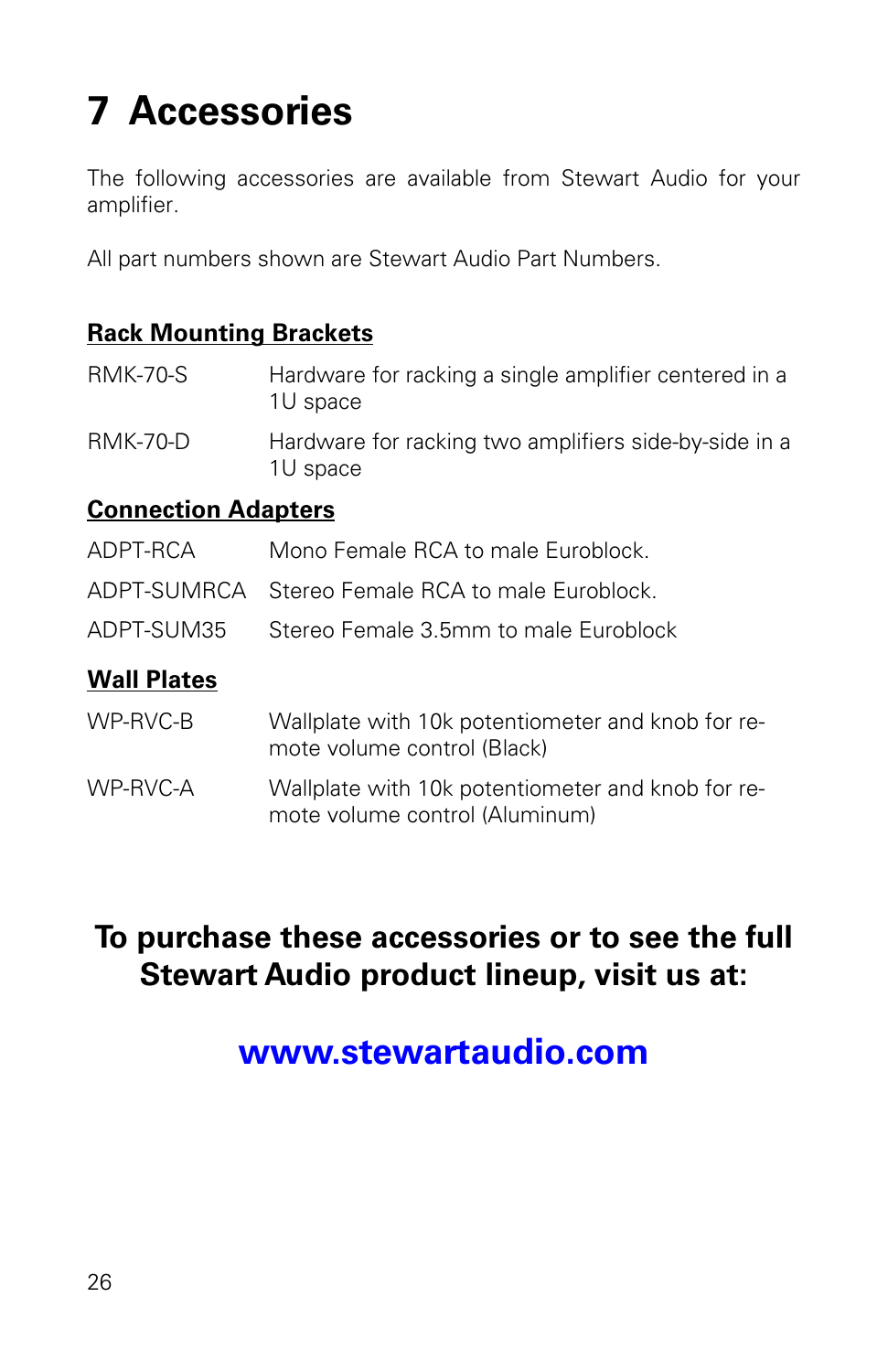## **7 Accessories**

The following accessories are available from Stewart Audio for your amplifier.

All part numbers shown are Stewart Audio Part Numbers.

#### **Rack Mounting Brackets**

| <b>RMK-70-S</b> | Hardware for racking a single amplifier centered in a<br>1U space |
|-----------------|-------------------------------------------------------------------|
| <b>RMK-70-D</b> | Hardware for racking two amplifiers side-by-side in a<br>1U space |

#### **Connection Adapters**

| Wall Plates |                                                  |
|-------------|--------------------------------------------------|
|             | ADPT-SUM35 Stereo Female 3.5mm to male Euroblock |
|             | ADPT-SUMRCA Stereo Female RCA to male Euroblock. |
| ADPT-RCA    | Mono Female RCA to male Euroblock.               |

- WP-RVC-B Wallplate with 10k potentiometer and knob for remote volume control (Black)
- WP-RVC-A Wallplate with 10k potentiometer and knob for remote volume control (Aluminum)

## **To purchase these accessories or to see the full Stewart Audio product lineup, visit us at:**

## **www.stewartaudio.com**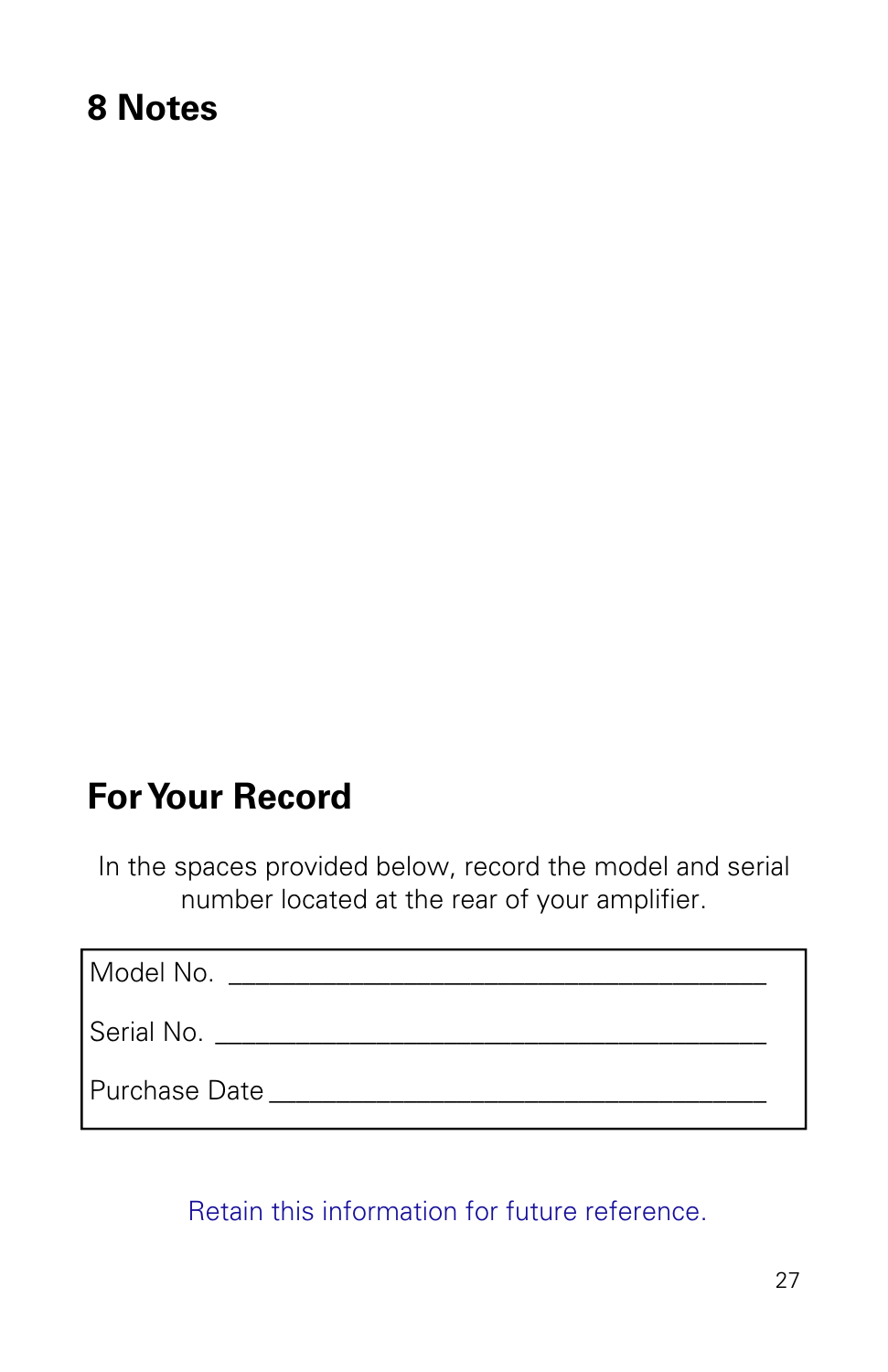## **8 Notes**

## **For Your Record**

In the spaces provided below, record the model and serial number located at the rear of your amplifier.

| Model No.     |
|---------------|
| Serial No.    |
| Purchase Date |

Retain this information for future reference.